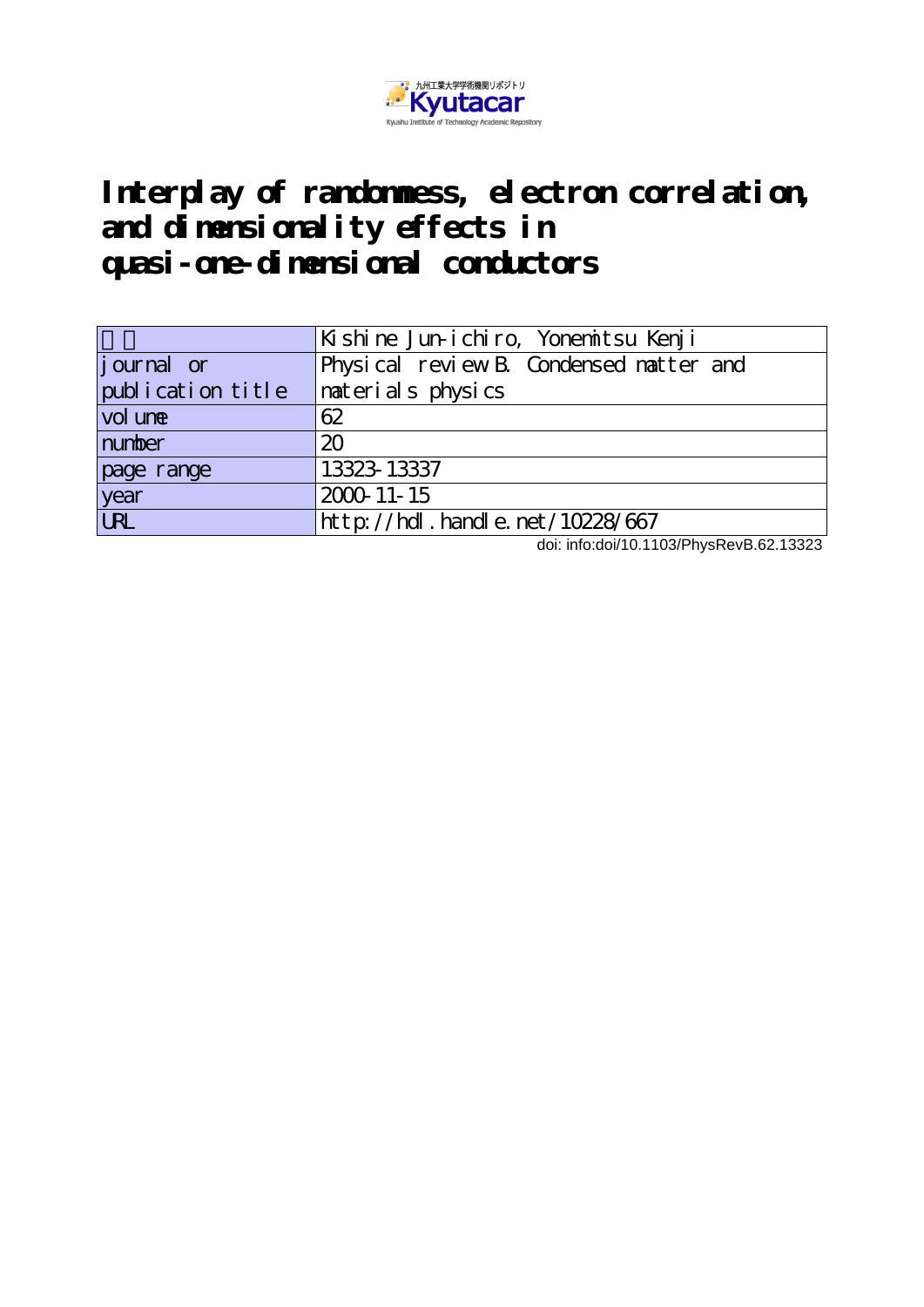

# **Interplay of randomness, electron correlation, and dimensionality effects in quasi-one-dimensional conductors**

|                   | Kishine Jun-ichiro, Yonemitsu Kenji    |
|-------------------|----------------------------------------|
| journal or        | Physical review B Condensed natter and |
| publication title | naterials physics                      |
| vol une           | 62                                     |
| number            | 20                                     |
| page range        | 13323-13337                            |
| year<br>URL       | 2000-11-15                             |
|                   | http://hdl.handle.net/10228/667        |

doi: info:doi/10.1103/PhysRevB.62.13323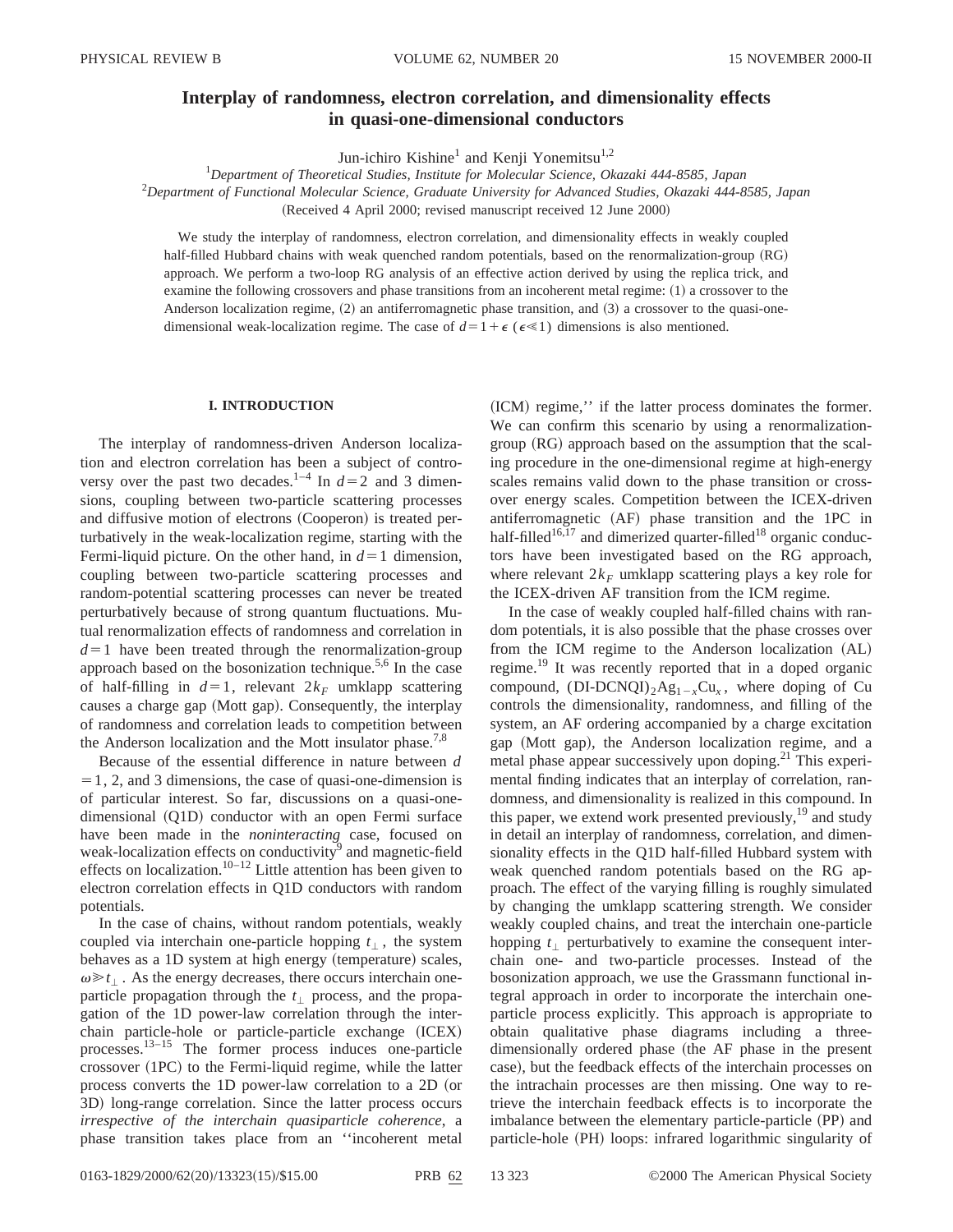## **Interplay of randomness, electron correlation, and dimensionality effects in quasi-one-dimensional conductors**

Jun-ichiro Kishine<sup>1</sup> and Kenji Yonemitsu<sup>1,2</sup>

1 *Department of Theoretical Studies, Institute for Molecular Science, Okazaki 444-8585, Japan*

2 *Department of Functional Molecular Science, Graduate University for Advanced Studies, Okazaki 444-8585, Japan*

(Received 4 April 2000; revised manuscript received 12 June 2000)

We study the interplay of randomness, electron correlation, and dimensionality effects in weakly coupled half-filled Hubbard chains with weak quenched random potentials, based on the renormalization-group (RG) approach. We perform a two-loop RG analysis of an effective action derived by using the replica trick, and examine the following crossovers and phase transitions from an incoherent metal regime: (1) a crossover to the Anderson localization regime,  $(2)$  an antiferromagnetic phase transition, and  $(3)$  a crossover to the quasi-onedimensional weak-localization regime. The case of  $d=1+\epsilon$  ( $\epsilon \le 1$ ) dimensions is also mentioned.

#### **I. INTRODUCTION**

The interplay of randomness-driven Anderson localization and electron correlation has been a subject of controversy over the past two decades.<sup>1–4</sup> In  $d=2$  and 3 dimensions, coupling between two-particle scattering processes and diffusive motion of electrons (Cooperon) is treated perturbatively in the weak-localization regime, starting with the Fermi-liquid picture. On the other hand, in  $d=1$  dimension, coupling between two-particle scattering processes and random-potential scattering processes can never be treated perturbatively because of strong quantum fluctuations. Mutual renormalization effects of randomness and correlation in  $d=1$  have been treated through the renormalization-group approach based on the bosonization technique. $5,6$  In the case of half-filling in  $d=1$ , relevant  $2k_F$  umklapp scattering causes a charge gap (Mott gap). Consequently, the interplay of randomness and correlation leads to competition between the Anderson localization and the Mott insulator phase.<sup>7,8</sup>

Because of the essential difference in nature between *d*  $=1, 2,$  and 3 dimensions, the case of quasi-one-dimension is of particular interest. So far, discussions on a quasi-one $dimensional$   $(O1D)$  conductor with an open Fermi surface have been made in the *noninteracting* case, focused on weak-localization effects on conductivity<sup>9</sup> and magnetic-field effects on localization.<sup>10–12</sup> Little attention has been given to electron correlation effects in Q1D conductors with random potentials.

In the case of chains, without random potentials, weakly coupled via interchain one-particle hopping  $t_{\perp}$ , the system behaves as a 1D system at high energy (temperature) scales,  $\omega \geq t_1$ . As the energy decreases, there occurs interchain oneparticle propagation through the  $t_1$  process, and the propagation of the 1D power-law correlation through the interchain particle-hole or particle-particle exchange (ICEX) processes.13–15 The former process induces one-particle crossover  $(1PC)$  to the Fermi-liquid regime, while the latter process converts the 1D power-law correlation to a 2D (or 3D) long-range correlation. Since the latter process occurs *irrespective of the interchain quasiparticle coherence*, a phase transition takes place from an ''incoherent metal (ICM) regime," if the latter process dominates the former. We can confirm this scenario by using a renormalization $group (RG)$  approach based on the assumption that the scaling procedure in the one-dimensional regime at high-energy scales remains valid down to the phase transition or crossover energy scales. Competition between the ICEX-driven antiferromagnetic (AF) phase transition and the 1PC in half-filled<sup>16,17</sup> and dimerized quarter-filled<sup>18</sup> organic conductors have been investigated based on the RG approach, where relevant  $2k_F$  umklapp scattering plays a key role for the ICEX-driven AF transition from the ICM regime.

In the case of weakly coupled half-filled chains with random potentials, it is also possible that the phase crosses over from the ICM regime to the Anderson localization (AL) regime.19 It was recently reported that in a doped organic compound,  $(DI-DCNQI)_{2}Ag_{1-x}Cu_{x}$ , where doping of Cu controls the dimensionality, randomness, and filling of the system, an AF ordering accompanied by a charge excitation gap (Mott gap), the Anderson localization regime, and a metal phase appear successively upon doping. $^{21}$  This experimental finding indicates that an interplay of correlation, randomness, and dimensionality is realized in this compound. In this paper, we extend work presented previously,  $\frac{19}{2}$  and study in detail an interplay of randomness, correlation, and dimensionality effects in the Q1D half-filled Hubbard system with weak quenched random potentials based on the RG approach. The effect of the varying filling is roughly simulated by changing the umklapp scattering strength. We consider weakly coupled chains, and treat the interchain one-particle hopping  $t_1$  perturbatively to examine the consequent interchain one- and two-particle processes. Instead of the bosonization approach, we use the Grassmann functional integral approach in order to incorporate the interchain oneparticle process explicitly. This approach is appropriate to obtain qualitative phase diagrams including a threedimensionally ordered phase (the AF phase in the present case), but the feedback effects of the interchain processes on the intrachain processes are then missing. One way to retrieve the interchain feedback effects is to incorporate the imbalance between the elementary particle-particle (PP) and particle-hole (PH) loops: infrared logarithmic singularity of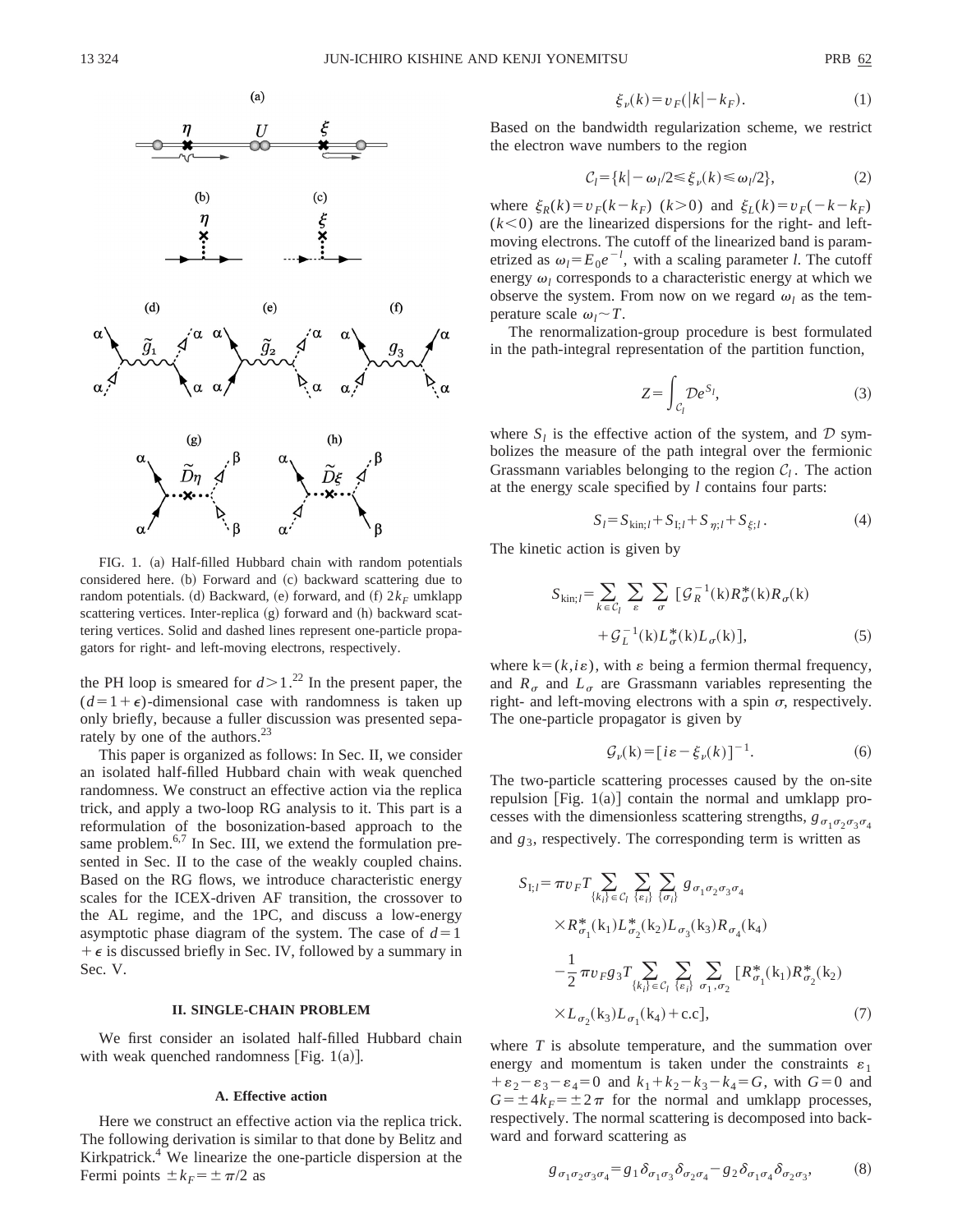

FIG. 1. (a) Half-filled Hubbard chain with random potentials considered here. (b) Forward and (c) backward scattering due to random potentials. (d) Backward, (e) forward, and  $(f)$   $2k_F$  umklapp scattering vertices. Inter-replica (g) forward and (h) backward scattering vertices. Solid and dashed lines represent one-particle propagators for right- and left-moving electrons, respectively.

the PH loop is smeared for  $d > 1$ .<sup>22</sup> In the present paper, the  $(d=1+\epsilon)$ -dimensional case with randomness is taken up only briefly, because a fuller discussion was presented separately by one of the authors.<sup>23</sup>

This paper is organized as follows: In Sec. II, we consider an isolated half-filled Hubbard chain with weak quenched randomness. We construct an effective action via the replica trick, and apply a two-loop RG analysis to it. This part is a reformulation of the bosonization-based approach to the same problem. $6,7$  In Sec. III, we extend the formulation presented in Sec. II to the case of the weakly coupled chains. Based on the RG flows, we introduce characteristic energy scales for the ICEX-driven AF transition, the crossover to the AL regime, and the 1PC, and discuss a low-energy asymptotic phase diagram of the system. The case of  $d=1$  $+ \epsilon$  is discussed briefly in Sec. IV, followed by a summary in Sec. V.

## **II. SINGLE-CHAIN PROBLEM**

We first consider an isolated half-filled Hubbard chain with weak quenched randomness [Fig.  $1(a)$ ].

## **A. Effective action**

Here we construct an effective action via the replica trick. The following derivation is similar to that done by Belitz and Kirkpatrick. $4$  We linearize the one-particle dispersion at the Fermi points  $\pm k_F = \pm \pi/2$  as

$$
\xi_{\nu}(k) = v_F(|k| - k_F). \tag{1}
$$

Based on the bandwidth regularization scheme, we restrict the electron wave numbers to the region

$$
C_l = \{k \mid -\omega_l/2 \le \xi_\nu(k) \le \omega_l/2\},\tag{2}
$$

where  $\xi_R(k) = v_F(k - k_F)$   $(k > 0)$  and  $\xi_L(k) = v_F(-k - k_F)$  $(k<0)$  are the linearized dispersions for the right- and leftmoving electrons. The cutoff of the linearized band is parametrized as  $\omega_l = E_0 e^{-l}$ , with a scaling parameter *l*. The cutoff energy  $\omega_l$  corresponds to a characteristic energy at which we observe the system. From now on we regard  $\omega_l$  as the temperature scale  $\omega_l \sim T$ .

The renormalization-group procedure is best formulated in the path-integral representation of the partition function,

$$
Z = \int_{\mathcal{C}_l} \mathcal{D}e^{S_l},\tag{3}
$$

where  $S_l$  is the effective action of the system, and  $D$  symbolizes the measure of the path integral over the fermionic Grassmann variables belonging to the region  $C_l$ . The action at the energy scale specified by *l* contains four parts:

$$
S_l = S_{\text{kin};l} + S_{\text{I};l} + S_{\eta;l} + S_{\xi;l}.
$$
 (4)

The kinetic action is given by

$$
S_{\text{kin};l} = \sum_{k \in \mathcal{C}_l} \sum_{\varepsilon} \sum_{\sigma} \left[ \mathcal{G}_R^{-1}(\mathbf{k}) R_{\sigma}^*(\mathbf{k}) R_{\sigma}(\mathbf{k}) + \mathcal{G}_L^{-1}(\mathbf{k}) L_{\sigma}^*(\mathbf{k}) L_{\sigma}(\mathbf{k}) \right],
$$
\n(5)

where  $k=(k, i\varepsilon)$ , with  $\varepsilon$  being a fermion thermal frequency, and  $R_{\sigma}$  and  $L_{\sigma}$  are Grassmann variables representing the right- and left-moving electrons with a spin  $\sigma$ , respectively. The one-particle propagator is given by

$$
\mathcal{G}_{\nu}(\mathbf{k}) = [i\varepsilon - \xi_{\nu}(k)]^{-1}.
$$
 (6)

The two-particle scattering processes caused by the on-site repulsion [Fig.  $1(a)$ ] contain the normal and umklapp processes with the dimensionless scattering strengths,  $g_{\sigma_1 \sigma_2 \sigma_3 \sigma_4}$ and  $g_3$ , respectively. The corresponding term is written as

$$
S_{I;l} = \pi v_F T \sum_{\{k_i\} \in C_l} \sum_{\{e_i\}} \sum_{\{\sigma_i\}} g_{\sigma_1 \sigma_2 \sigma_3 \sigma_4}
$$
  
× $R^*_{\sigma_1}(k_1) L^*_{\sigma_2}(k_2) L_{\sigma_3}(k_3) R_{\sigma_4}(k_4)$   

$$
-\frac{1}{2} \pi v_F g_3 T \sum_{\{k_i\} \in C_l} \sum_{\{e_i\}} \sum_{\sigma_1, \sigma_2} [R^*_{\sigma_1}(k_1) R^*_{\sigma_2}(k_2)
$$
  
× $L_{\sigma_2}(k_3) L_{\sigma_1}(k_4)$ +c.c], (7)

where *T* is absolute temperature, and the summation over energy and momentum is taken under the constraints  $\varepsilon_1$  $+ \varepsilon_2 - \varepsilon_3 - \varepsilon_4 = 0$  and  $k_1 + k_2 - k_3 - k_4 = G$ , with  $G = 0$  and  $G = \pm 4k_F = \pm 2\pi$  for the normal and umklapp processes, respectively. The normal scattering is decomposed into backward and forward scattering as

$$
g_{\sigma_1 \sigma_2 \sigma_3 \sigma_4} = g_1 \delta_{\sigma_1 \sigma_3} \delta_{\sigma_2 \sigma_4} - g_2 \delta_{\sigma_1 \sigma_4} \delta_{\sigma_2 \sigma_3},
$$
 (8)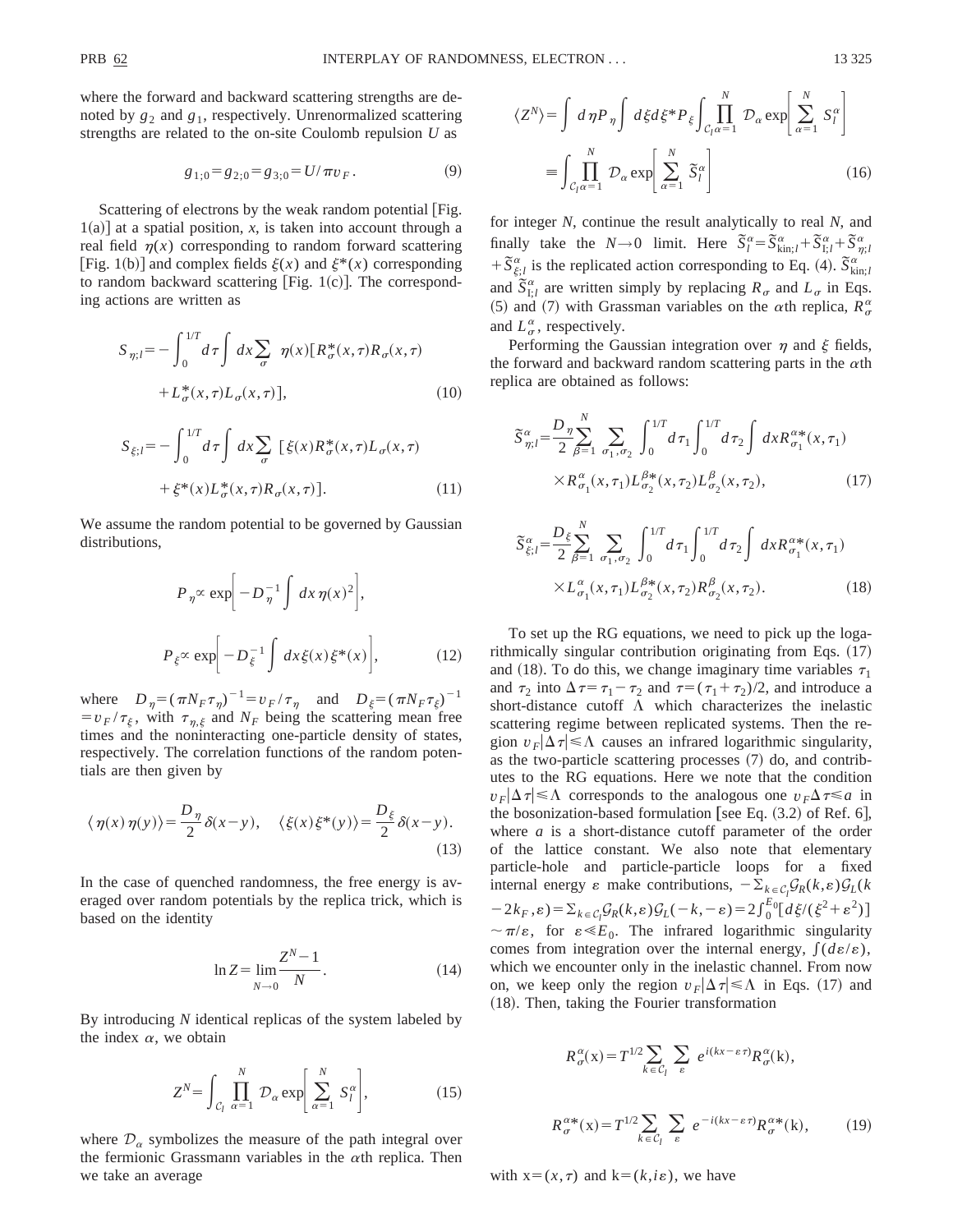where the forward and backward scattering strengths are denoted by  $g_2$  and  $g_1$ , respectively. Unrenormalized scattering strengths are related to the on-site Coulomb repulsion *U* as

$$
g_{1;0} = g_{2;0} = g_{3;0} = U/\pi v_F. \tag{9}
$$

Scattering of electrons by the weak random potential [Fig.  $1(a)$ ] at a spatial position, *x*, is taken into account through a real field  $\eta(x)$  corresponding to random forward scattering [Fig. 1(b)] and complex fields  $\xi(x)$  and  $\xi^*(x)$  corresponding to random backward scattering [Fig.  $1(c)$ ]. The corresponding actions are written as

$$
S_{\eta;l} = -\int_0^{1/T} d\tau \int dx \sum_{\sigma} \eta(x) [R_{\sigma}^*(x,\tau)R_{\sigma}(x,\tau) + L_{\sigma}^*(x,\tau)L_{\sigma}(x,\tau)],
$$
\n(10)

$$
S_{\xi;l} = -\int_0^{1/T} d\tau \int dx \sum_{\sigma} \left[ \xi(x) R_{\sigma}^*(x,\tau) L_{\sigma}(x,\tau) \right. + \xi^*(x) L_{\sigma}^*(x,\tau) R_{\sigma}(x,\tau) \tag{11}
$$

We assume the random potential to be governed by Gaussian distributions,

$$
P_{\eta} \propto \exp\biggl[-D_{\eta}^{-1} \int dx \,\eta(x)^2\biggr],
$$
  

$$
P_{\xi} \propto \exp\biggl[-D_{\xi}^{-1} \int dx \,\xi(x)\,\xi^*(x)\biggr],
$$
 (12)

where  $D_{\eta} = (\pi N_F \tau_{\eta})^{-1} = v_F / \tau_{\eta}$  and  $D_{\xi} = (\pi N_F \tau_{\xi})^{-1}$  $=v_F/\tau_{\xi}$ , with  $\tau_{\eta,\xi}$  and  $N_F$  being the scattering mean free times and the noninteracting one-particle density of states, respectively. The correlation functions of the random potentials are then given by

$$
\langle \eta(x)\eta(y)\rangle = \frac{D_{\eta}}{2}\delta(x-y), \quad \langle \xi(x)\xi^*(y)\rangle = \frac{D_{\xi}}{2}\delta(x-y).
$$
\n(13)

In the case of quenched randomness, the free energy is averaged over random potentials by the replica trick, which is based on the identity

$$
\ln Z = \lim_{N \to 0} \frac{Z^N - 1}{N}.
$$
\n(14)

By introducing *N* identical replicas of the system labeled by the index  $\alpha$ , we obtain

$$
Z^N = \int_{\mathcal{C}_l} \prod_{\alpha=1}^N \mathcal{D}_\alpha \exp\bigg[\sum_{\alpha=1}^N S_l^\alpha\bigg],\tag{15}
$$

where  $\mathcal{D}_{\alpha}$  symbolizes the measure of the path integral over the fermionic Grassmann variables in the  $\alpha$ th replica. Then we take an average

$$
\langle Z^{N} \rangle = \int d \eta P_{\eta} \int d \xi d \xi^{*} P_{\xi} \int_{C_{l} \alpha = 1}^{N} \mathcal{D}_{\alpha} \exp \left[ \sum_{\alpha=1}^{N} S_{l}^{\alpha} \right]
$$

$$
= \int_{C_{l} \alpha = 1}^{N} \mathcal{D}_{\alpha} \exp \left[ \sum_{\alpha=1}^{N} \tilde{S}_{l}^{\alpha} \right]
$$
(16)

*N*

for integer *N*, continue the result analytically to real *N*, and finally take the *N*→0 limit. Here  $\tilde{S}_l^{\alpha} = \tilde{S}_{\text{kin};l}^{\alpha} + \tilde{S}_{1;l}^{\alpha} + \tilde{S}_{\eta;l}^{\alpha}$  $+\overline{S}_{\xi,l}^{\alpha}$  is the replicated action corresponding to Eq. (4).  $\overline{S}_{\xi_{in;l}}^{\alpha}$ and  $\tilde{S}_{1;t}^{\alpha}$  are written simply by replacing  $R_{\sigma}$  and  $L_{\sigma}$  in Eqs. (5) and (7) with Grassman variables on the  $\alpha$ th replica,  $R^{\alpha}_{\sigma}$ and  $L^{\alpha}_{\sigma}$ , respectively.

Performing the Gaussian integration over  $\eta$  and  $\xi$  fields, the forward and backward random scattering parts in the  $\alpha$ th replica are obtained as follows:

$$
\begin{split} \tilde{S}_{\eta;l}^{\alpha} &= \frac{D_{\eta}}{2} \sum_{\beta=1}^{N} \sum_{\sigma_{1},\sigma_{2}} \int_{0}^{1/T} d\tau_{1} \int_{0}^{1/T} d\tau_{2} \int d\mathbf{x} R_{\sigma_{1}}^{\alpha*}(\mathbf{x},\tau_{1}) \\ &\times R_{\sigma_{1}}^{\alpha}(\mathbf{x},\tau_{1}) L_{\sigma_{2}}^{\beta*}(\mathbf{x},\tau_{2}) L_{\sigma_{2}}^{\beta}(\mathbf{x},\tau_{2}), \end{split} \tag{17}
$$

$$
\widetilde{S}_{\xi;l}^{\alpha} = \frac{D_{\xi}}{2} \sum_{\beta=1}^{N} \sum_{\sigma_1, \sigma_2} \int_0^{1/T} d\tau_1 \int_0^{1/T} d\tau_2 \int dx R_{\sigma_1}^{\alpha*}(x, \tau_1) \times L_{\sigma_1}^{\alpha}(x, \tau_1) L_{\sigma_2}^{\beta*}(x, \tau_2) R_{\sigma_2}^{\beta}(x, \tau_2).
$$
\n(18)

To set up the RG equations, we need to pick up the logarithmically singular contribution originating from Eqs.  $(17)$ and (18). To do this, we change imaginary time variables  $\tau_1$ and  $\tau_2$  into  $\Delta \tau = \tau_1 - \tau_2$  and  $\tau = (\tau_1 + \tau_2)/2$ , and introduce a short-distance cutoff  $\Lambda$  which characterizes the inelastic scattering regime between replicated systems. Then the region  $v_F|\Delta \tau| \leq \Lambda$  causes an infrared logarithmic singularity, as the two-particle scattering processes  $(7)$  do, and contributes to the RG equations. Here we note that the condition  $v_F|\Delta \tau| \leq \Lambda$  corresponds to the analogous one  $v_F\Delta \tau \leq a$  in the bosonization-based formulation [see Eq.  $(3.2)$  of Ref. 6], where *a* is a short-distance cutoff parameter of the order of the lattice constant. We also note that elementary particle-hole and particle-particle loops for a fixed internal energy  $\varepsilon$  make contributions,  $-\sum_{k \in \mathcal{C}_l} \mathcal{G}_R(k, \varepsilon) \mathcal{G}_L(k)$  $-2k_F, \varepsilon) = \sum_{k \in C_l} \mathcal{G}_R(k, \varepsilon) \mathcal{G}_L(-k, -\varepsilon) = 2 \int_0^{E_0} [d\xi/(\xi^2 + \varepsilon^2)]$  $\sim \pi/\varepsilon$ , for  $\varepsilon \ll E_0$ . The infrared logarithmic singularity comes from integration over the internal energy,  $\int (d\varepsilon/\varepsilon)$ , which we encounter only in the inelastic channel. From now on, we keep only the region  $v_F|\Delta \tau| \leq \Lambda$  in Eqs. (17) and (18). Then, taking the Fourier transformation

$$
R^{\alpha}_{\sigma}(x) = T^{1/2} \sum_{k \in C_l} \sum_{\varepsilon} e^{i(kx - \varepsilon \tau)} R^{\alpha}_{\sigma}(k),
$$
  

$$
R^{\alpha *}_{\sigma}(x) = T^{1/2} \sum_{k \in C_l} \sum_{\varepsilon} e^{-i(kx - \varepsilon \tau)} R^{\alpha *}_{\sigma}(k),
$$
 (19)

with  $x=(x,\tau)$  and  $k=(k,i\varepsilon)$ , we have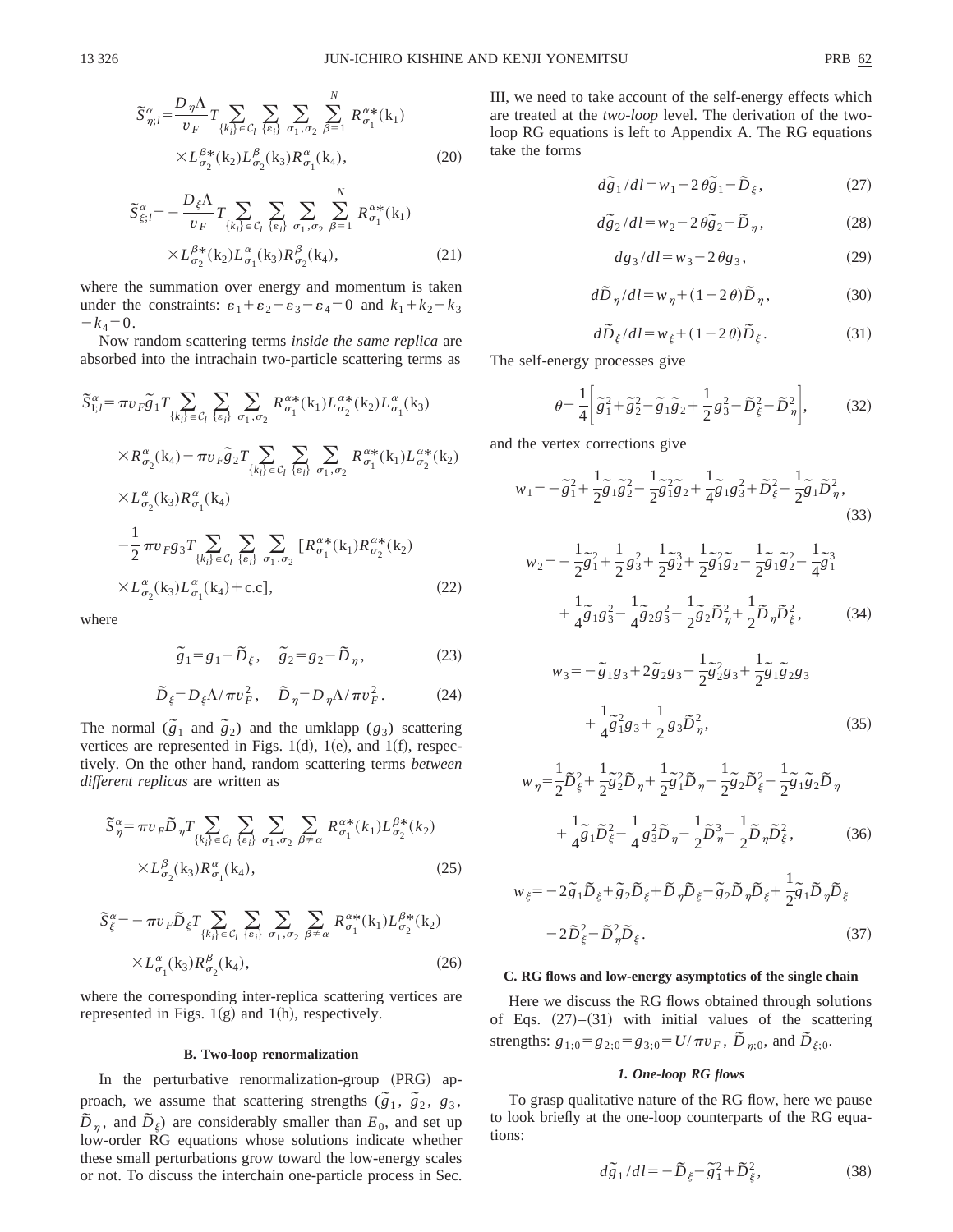$$
\widetilde{S}_{\eta;l}^{\alpha} = \frac{D_{\eta}\Lambda}{v_F} T \sum_{\{k_i\} \in \mathcal{C}_l} \sum_{\{\varepsilon_i\}} \sum_{\sigma_1, \sigma_2} \sum_{\beta=1}^N R_{\sigma_1}^{\alpha*}(\mathbf{k}_1)
$$
\n
$$
\times L_{\sigma_2}^{\beta*}(\mathbf{k}_2) L_{\sigma_2}^{\beta}(\mathbf{k}_3) R_{\sigma_1}^{\alpha}(\mathbf{k}_4), \tag{20}
$$

$$
\widetilde{S}_{\xi;l}^{\alpha} = -\frac{D_{\xi}\Lambda}{v_F} T \sum_{\{k_i\} \in \mathcal{C}_l} \sum_{\{\varepsilon_i\}} \sum_{\sigma_1, \sigma_2} \sum_{\beta=1}^N R_{\sigma_1}^{\alpha*}(\mathbf{k}_1)
$$
\n
$$
\times L_{\sigma_2}^{\beta*}(\mathbf{k}_2) L_{\sigma_1}^{\alpha}(\mathbf{k}_3) R_{\sigma_2}^{\beta}(\mathbf{k}_4),
$$
\n(21)

where the summation over energy and momentum is taken under the constraints:  $\varepsilon_1 + \varepsilon_2 - \varepsilon_3 - \varepsilon_4 = 0$  and  $k_1 + k_2 - k_3$  $-k_4=0.$ 

Now random scattering terms *inside the same replica* are absorbed into the intrachain two-particle scattering terms as

$$
\tilde{S}_{I;l}^{\alpha} = \pi v_F \tilde{g}_1 T \sum_{\{k_i\} \in C_l} \sum_{\{e_i\}} \sum_{\sigma_1, \sigma_2} R^{\alpha*}_{\sigma_1}(k_1) L^{\alpha*}_{\sigma_2}(k_2) L^{\alpha}_{\sigma_1}(k_3) \times R^{\alpha}_{\sigma_2}(k_4) - \pi v_F \tilde{g}_2 T \sum_{\{k_i\} \in C_l} \sum_{\{e_i\}} \sum_{\sigma_1, \sigma_2} R^{\alpha*}_{\sigma_1}(k_1) L^{\alpha*}_{\sigma_2}(k_2) \times L^{\alpha}_{\sigma_2}(k_3) R^{\alpha}_{\sigma_1}(k_4) \n- \frac{1}{2} \pi v_F g_3 T \sum_{\{k_i\} \in C_l} \sum_{\{e_i\}} \sum_{\sigma_1, \sigma_2} [R^{\alpha*}_{\sigma_1}(k_1) R^{\alpha*}_{\sigma_2}(k_2) \times L^{\alpha}_{\sigma_2}(k_3) L^{\alpha}_{\sigma_1}(k_4) + \text{c.c}],
$$
\n(22)

where

$$
\tilde{g}_1 = g_1 - \tilde{D}_{\xi}, \quad \tilde{g}_2 = g_2 - \tilde{D}_{\eta}, \tag{23}
$$

$$
\tilde{D}_{\xi} = D_{\xi} \Lambda / \pi v_F^2, \quad \tilde{D}_{\eta} = D_{\eta} \Lambda / \pi v_F^2. \tag{24}
$$

The normal  $(\tilde{g}_1$  and  $\tilde{g}_2)$  and the umklapp  $(g_3)$  scattering vertices are represented in Figs. 1 $(d)$ , 1 $(e)$ , and 1 $(f)$ , respectively. On the other hand, random scattering terms *between different replicas* are written as

$$
\widetilde{S}_{\eta}^{\alpha} = \pi v_F \widetilde{D}_{\eta} T \sum_{\{k_i\} \in \mathcal{C}_l} \sum_{\{e_i\}} \sum_{\sigma_1, \sigma_2} \sum_{\beta \neq \alpha} R_{\sigma_1}^{\alpha*}(k_1) L_{\sigma_2}^{\beta*}(k_2)
$$

$$
\times L_{\sigma_2}^{\beta}(\mathbf{k}_3) R_{\sigma_1}^{\alpha}(\mathbf{k}_4), \tag{25}
$$

$$
\widetilde{S}_{\xi}^{\alpha} = -\pi v_F \widetilde{D}_{\xi} T \sum_{\{k_i\} \in \mathcal{C}_l} \sum_{\{e_i\}} \sum_{\sigma_1, \sigma_2} \sum_{\beta \neq \alpha} R^{\alpha *}_{\sigma_1}(\mathbf{k}_1) L^{\beta *}_{\sigma_2}(\mathbf{k}_2)
$$
\n
$$
\times L^{\alpha}_{\sigma_1}(\mathbf{k}_3) R^{\beta}_{\sigma_2}(\mathbf{k}_4),
$$
\n(26)

where the corresponding inter-replica scattering vertices are represented in Figs.  $1(g)$  and  $1(h)$ , respectively.

#### **B. Two-loop renormalization**

In the perturbative renormalization-group (PRG) approach, we assume that scattering strengths  $(\tilde{g}_1, \tilde{g}_2, g_3,$  $\tilde{D}_n$ , and  $\tilde{D}_\xi$ ) are considerably smaller than  $E_0$ , and set up low-order RG equations whose solutions indicate whether these small perturbations grow toward the low-energy scales or not. To discuss the interchain one-particle process in Sec. III, we need to take account of the self-energy effects which are treated at the *two-loop* level. The derivation of the twoloop RG equations is left to Appendix A. The RG equations take the forms

$$
d\tilde{g}_1/dl = w_1 - 2\theta \tilde{g}_1 - \tilde{D}_{\xi},
$$
 (27)

$$
d\tilde{g}_2/dl = w_2 - 2\theta \tilde{g}_2 - \tilde{D}_\eta, \qquad (28)
$$

$$
dg_3/dl = w_3 - 2\,\theta g_3,\tag{29}
$$

$$
d\tilde{D}_{\eta}/dl = w_{\eta} + (1 - 2\theta)\tilde{D}_{\eta},
$$
\n(30)

$$
d\tilde{D}_{\xi}/dl = w_{\xi} + (1 - 2\theta)\tilde{D}_{\xi}.
$$
 (31)

The self-energy processes give

$$
\theta = \frac{1}{4} \left[ \tilde{g}_1^2 + \tilde{g}_2^2 - \tilde{g}_1 \tilde{g}_2 + \frac{1}{2} g_3^2 - \tilde{D}_{\xi}^2 - \tilde{D}_{\eta}^2 \right],\tag{32}
$$

and the vertex corrections give

$$
w_1 = -\tilde{g}_1^2 + \frac{1}{2}\tilde{g}_1\tilde{g}_2^2 - \frac{1}{2}\tilde{g}_1^2\tilde{g}_2 + \frac{1}{4}\tilde{g}_1g_3^2 + \tilde{D}_{\xi}^2 - \frac{1}{2}\tilde{g}_1\tilde{D}_{\eta}^2,
$$
\n(33)

$$
w_2 = -\frac{1}{2}\tilde{g}_1^2 + \frac{1}{2}g_3^2 + \frac{1}{2}\tilde{g}_2^3 + \frac{1}{2}\tilde{g}_1^2\tilde{g}_2 - \frac{1}{2}\tilde{g}_1\tilde{g}_2^2 - \frac{1}{4}\tilde{g}_1^3
$$
  
+ 
$$
\frac{1}{4}\tilde{g}_1g_3^2 - \frac{1}{4}\tilde{g}_2g_3^2 - \frac{1}{2}\tilde{g}_2\tilde{D}_\eta^2 + \frac{1}{2}\tilde{D}_\eta\tilde{D}_\xi^2, \tag{34}
$$

$$
w_3 = -\tilde{g}_1 g_3 + 2\tilde{g}_2 g_3 - \frac{1}{2} \tilde{g}_2^2 g_3 + \frac{1}{2} \tilde{g}_1 \tilde{g}_2 g_3 + \frac{1}{4} \tilde{g}_1^2 g_3 + \frac{1}{2} g_3 \tilde{D}_\eta^2,
$$
 (35)

$$
w_{\eta} = \frac{1}{2}\tilde{D}_{\xi}^{2} + \frac{1}{2}\tilde{g}_{2}^{2}\tilde{D}_{\eta} + \frac{1}{2}\tilde{g}_{1}^{2}\tilde{D}_{\eta} - \frac{1}{2}\tilde{g}_{2}\tilde{D}_{\xi}^{2} - \frac{1}{2}\tilde{g}_{1}\tilde{g}_{2}\tilde{D}_{\eta}
$$

$$
+ \frac{1}{4}\tilde{g}_{1}\tilde{D}_{\xi}^{2} - \frac{1}{4}g_{3}^{2}\tilde{D}_{\eta} - \frac{1}{2}\tilde{D}_{\eta}^{3} - \frac{1}{2}\tilde{D}_{\eta}\tilde{D}_{\xi}^{2},
$$
(36)

$$
w_{\xi} = -2\tilde{g}_1 \tilde{D}_{\xi} + \tilde{g}_2 \tilde{D}_{\xi} + \tilde{D}_{\eta} \tilde{D}_{\xi} - \tilde{g}_2 \tilde{D}_{\eta} \tilde{D}_{\xi} + \frac{1}{2} \tilde{g}_1 \tilde{D}_{\eta} \tilde{D}_{\xi}
$$

$$
-2\tilde{D}_{\xi}^2 - \tilde{D}_{\eta}^2 \tilde{D}_{\xi}.
$$
(37)

## **C. RG flows and low-energy asymptotics of the single chain**

Here we discuss the RG flows obtained through solutions of Eqs.  $(27)$ – $(31)$  with initial values of the scattering strengths:  $g_{1;0} = g_{2;0} = g_{3;0} = U/\pi v_F$ ,  $\tilde{D}_{\eta;0}$ , and  $\tilde{D}_{\xi;0}$ .

## *1. One-loop RG flows*

To grasp qualitative nature of the RG flow, here we pause to look briefly at the one-loop counterparts of the RG equations:

$$
d\tilde{g}_1/dl = -\tilde{D}_{\xi} - \tilde{g}_1^2 + \tilde{D}_{\xi}^2,\tag{38}
$$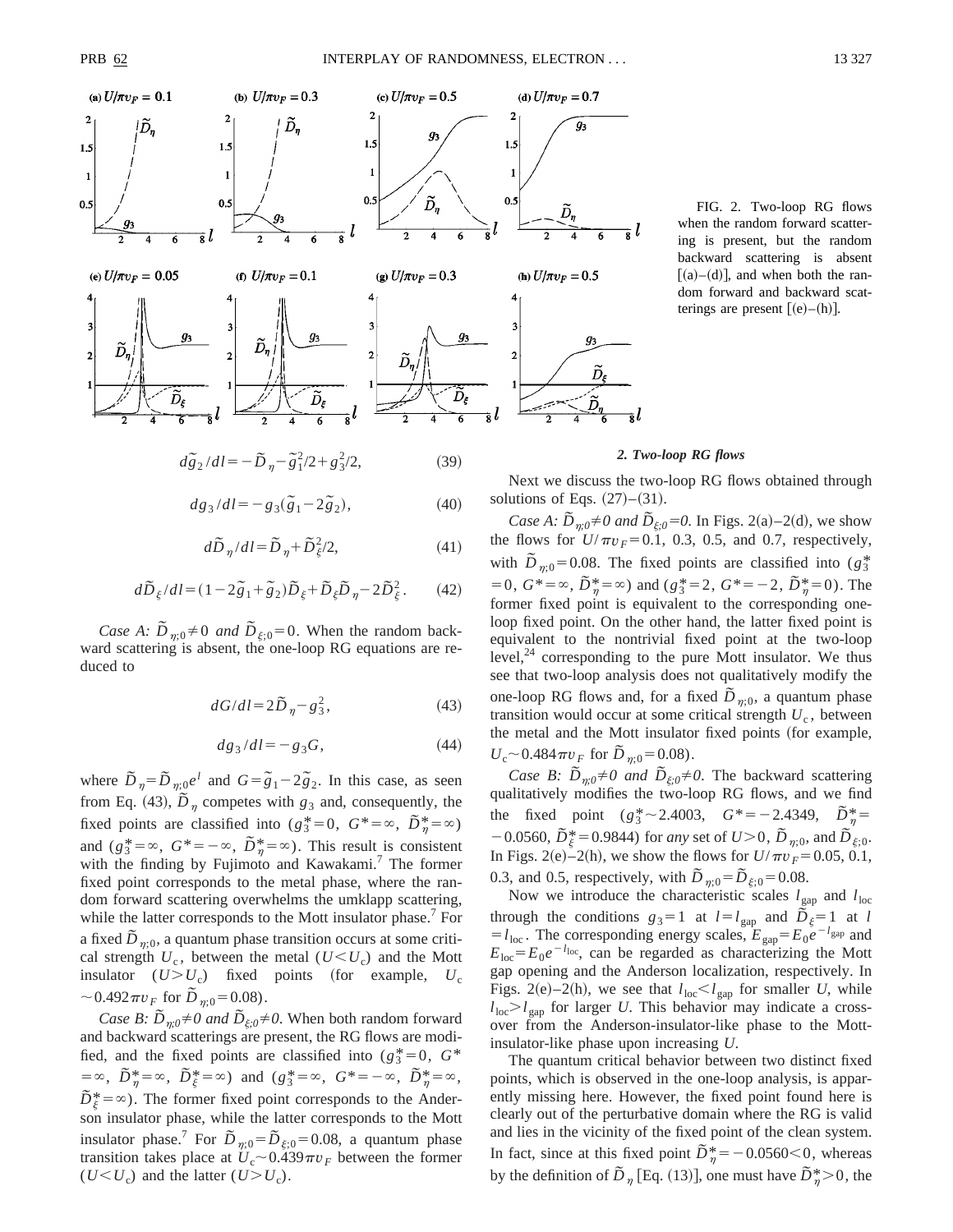



$$
d\tilde{g}_2/dl = -\tilde{D}_{\eta} - \tilde{g}_1^2/2 + g_3^2/2,
$$
 (39)

$$
dg_3/dl = -g_3(\tilde{g}_1 - 2\tilde{g}_2),
$$
\n(40)

$$
d\widetilde{D}_{\eta}/dl = \widetilde{D}_{\eta} + \widetilde{D}_{\xi}^{2}/2, \tag{41}
$$

$$
d\tilde{D}_{\xi}/dl = (1 - 2\tilde{g}_1 + \tilde{g}_2)\tilde{D}_{\xi} + \tilde{D}_{\xi}\tilde{D}_{\eta} - 2\tilde{D}_{\xi}^2.
$$
 (42)

*Case A:*  $\overline{D}_{\eta;0} \neq 0$  *and*  $\overline{D}_{\xi;0} = 0$ . When the random backward scattering is absent, the one-loop RG equations are reduced to

$$
dG/dl = 2\tilde{D}_{\eta} - g_3^2,\tag{43}
$$

$$
dg_3/dl = -g_3G,\t\t(44)
$$

where  $\tilde{D}_{\eta} = \tilde{D}_{\eta;0} e^{l}$  and  $G = \tilde{g}_1 - 2\tilde{g}_2$ . In this case, as seen from Eq. (43),  $\tilde{D}_{\eta}$  competes with  $g_3$  and, consequently, the fixed points are classified into  $(g_3^* = 0, G^* = \infty, \tilde{D}_7^* = \infty)$ and  $(g_3^* = \infty, G^* = -\infty, \tilde{D}_\eta^* = \infty$ ). This result is consistent with the finding by Fujimoto and Kawakami.<sup>7</sup> The former fixed point corresponds to the metal phase, where the random forward scattering overwhelms the umklapp scattering, while the latter corresponds to the Mott insulator phase.<sup>7</sup> For a fixed  $\overline{D}_{n;0}$ , a quantum phase transition occurs at some critical strength  $U_c$ , between the metal  $(U \leq U_c)$  and the Mott insulator  $(U > U_c)$  fixed points (for example,  $U_c$  $\sim 0.492 \pi v_F$  for  $D_{n;0} = 0.08$ .

*Case B:*  $\tilde{D}_{\eta;0} \neq 0$  *and*  $\tilde{D}_{\xi;0} \neq 0$ . When both random forward and backward scatterings are present, the RG flows are modified, and the fixed points are classified into  $(g_3^* = 0, G^*$  $= \infty$ ,  $\tilde{D}_{\eta}^* = \infty$ ,  $\tilde{D}_{\xi}^* = \infty$ ) and  $(g_3^* = \infty$ ,  $G^* = -\infty$ ,  $\tilde{D}_{\eta}^* = \infty$ ,  $\tilde{D}_{\xi}^{*} = \infty$ ). The former fixed point corresponds to the Anderson insulator phase, while the latter corresponds to the Mott insulator phase.<sup>7</sup> For  $\tilde{D}_{\eta;0} = \tilde{D}_{\xi;0} = 0.08$ , a quantum phase transition takes place at  $U_c \sim 0.439 \pi v_F$  between the former  $(U < U_c)$  and the latter  $(U > U_c)$ .

FIG. 2. Two-loop RG flows when the random forward scattering is present, but the random backward scattering is absent  $[(a)–(d)]$ , and when both the random forward and backward scatterings are present  $[(e)–(h)].$ 

#### *2. Two-loop RG flows*

Next we discuss the two-loop RG flows obtained through solutions of Eqs.  $(27)–(31)$ .

*Case A:*  $\tilde{D}_{m0} \neq 0$  *and*  $\tilde{D}_{\xi:0} = 0$ . In Figs. 2(a)–2(d), we show the flows for  $U/\pi v_F = 0.1$ , 0.3, 0.5, and 0.7, respectively, with  $\overline{D}_{\eta;0}$ =0.08. The fixed points are classified into ( $g_3^*$ )  $=0, G^*=\infty, \tilde{D}_{\eta}^*=\infty$  and  $(g_3^*=2, G^*=-2, \tilde{D}_{\eta}^*=0)$ . The former fixed point is equivalent to the corresponding oneloop fixed point. On the other hand, the latter fixed point is equivalent to the nontrivial fixed point at the two-loop level, $24$  corresponding to the pure Mott insulator. We thus see that two-loop analysis does not qualitatively modify the one-loop RG flows and, for a fixed  $D_{\eta;0}$ , a quantum phase transition would occur at some critical strength  $U_c$ , between the metal and the Mott insulator fixed points (for example,  $U_c \sim 0.484 \pi v_F$  for  $\bar{D}_{\eta;0} = 0.08$ .

*Case B:*  $\tilde{D}_{\eta;0} \neq 0$  *and*  $\tilde{D}_{\xi;0} \neq 0$ . The backward scattering qualitatively modifies the two-loop RG flows, and we find the fixed point  $(g_3^* \sim 2.4003, G^* = -2.4349, \tilde{D}_n^* =$  $-0.0560, \tilde{D}_{\xi}^{*}=0.9844$ ) for *any* set of  $U>0$ ,  $\tilde{D}_{\eta;0}$ , and  $\tilde{D}_{\xi;0}$ . In Figs. 2(e)–2(h), we show the flows for  $U/\pi v_F = 0.05, 0.1$ , 0.3, and 0.5, respectively, with  $\tilde{D}_{\eta;0} = \tilde{D}_{\xi;0} = 0.08$ .

Now we introduce the characteristic scales  $l_{\text{gap}}$  and  $l_{\text{loc}}$ through the conditions  $g_3=1$  at  $l=l_{\text{gap}}$  and  $\tilde{D}_\xi=1$  at *l*  $= l_{\text{loc}}$ . The corresponding energy scales,  $E_{\text{gap}} = E_0 e^{-l_{\text{gap}}}$  and  $E_{\text{loc}}=E_0e^{-l_{\text{loc}}}$ , can be regarded as characterizing the Mott gap opening and the Anderson localization, respectively. In Figs. 2(e)–2(h), we see that  $l_{\text{loc}} < l_{\text{gap}}$  for smaller *U*, while  $l_{\text{loc}} > l_{\text{gap}}$  for larger *U*. This behavior may indicate a crossover from the Anderson-insulator-like phase to the Mottinsulator-like phase upon increasing *U*.

The quantum critical behavior between two distinct fixed points, which is observed in the one-loop analysis, is apparently missing here. However, the fixed point found here is clearly out of the perturbative domain where the RG is valid and lies in the vicinity of the fixed point of the clean system. In fact, since at this fixed point  $\overline{D}^*_{\eta} = -0.0560 < 0$ , whereas by the definition of  $\overline{D}_{\eta}$  [Eq. (13)], one must have  $\overline{D}_{\eta}^* > 0$ , the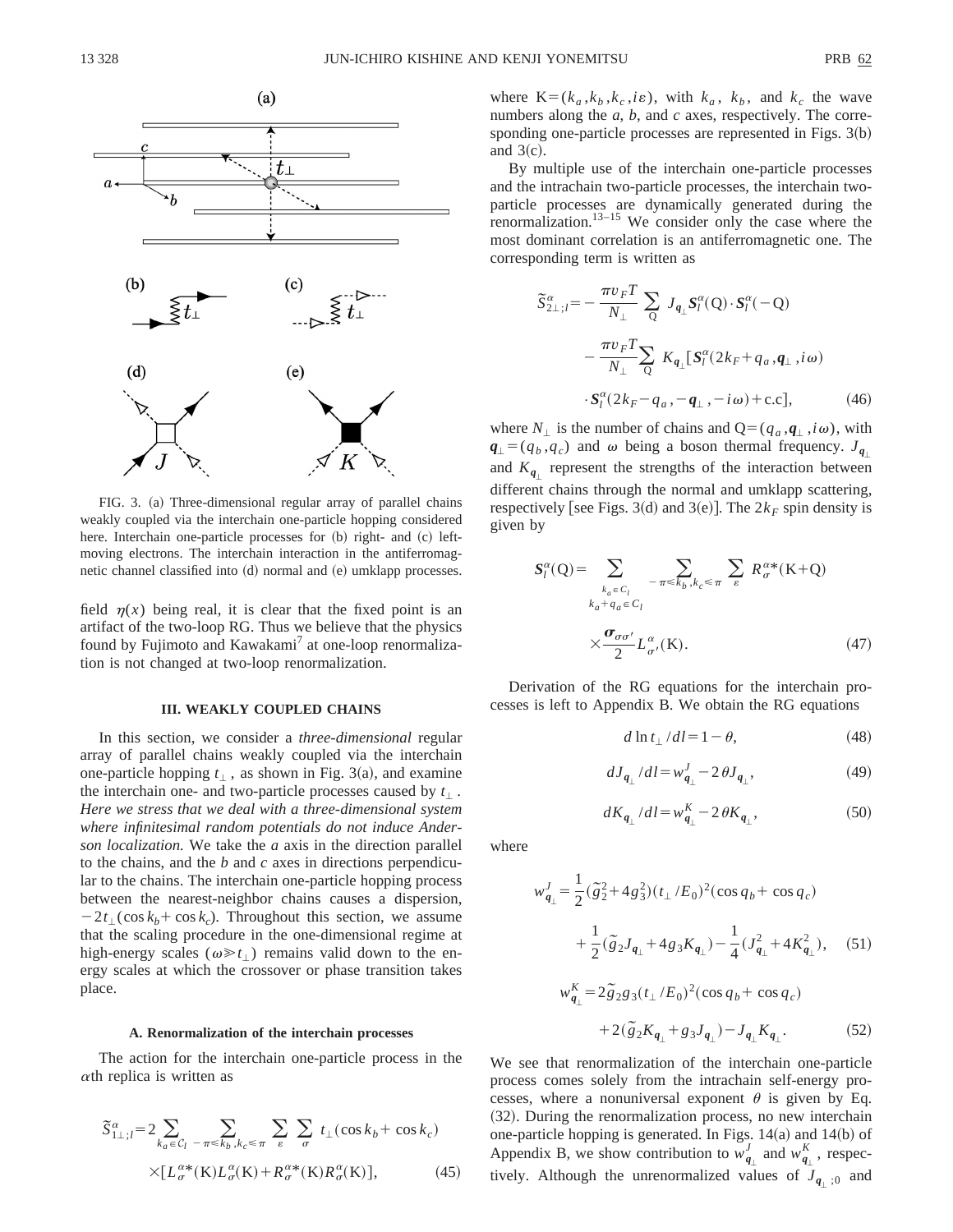

FIG. 3. (a) Three-dimensional regular array of parallel chains weakly coupled via the interchain one-particle hopping considered here. Interchain one-particle processes for (b) right- and (c) leftmoving electrons. The interchain interaction in the antiferromagnetic channel classified into (d) normal and (e) umklapp processes.

field  $\eta(x)$  being real, it is clear that the fixed point is an artifact of the two-loop RG. Thus we believe that the physics found by Fujimoto and Kawakami<sup>7</sup> at one-loop renormalization is not changed at two-loop renormalization.

#### **III. WEAKLY COUPLED CHAINS**

In this section, we consider a *three-dimensional* regular array of parallel chains weakly coupled via the interchain one-particle hopping  $t_{\perp}$ , as shown in Fig. 3(a), and examine the interchain one- and two-particle processes caused by  $t_{\perp}$ . *Here we stress that we deal with a three-dimensional system where infinitesimal random potentials do not induce Anderson localization.* We take the *a* axis in the direction parallel to the chains, and the *b* and *c* axes in directions perpendicular to the chains. The interchain one-particle hopping process between the nearest-neighbor chains causes a dispersion,  $-2t_1(\cos k_b + \cos k_c)$ . Throughout this section, we assume that the scaling procedure in the one-dimensional regime at high-energy scales ( $\omega \ge t_1$ ) remains valid down to the energy scales at which the crossover or phase transition takes place.

#### **A. Renormalization of the interchain processes**

The action for the interchain one-particle process in the  $\alpha$ th replica is written as

$$
\widetilde{S}_{1\perp;l}^{\alpha} = 2 \sum_{k_a \in \mathcal{C}_l} \sum_{-\pi \le k_b, k_c \le \pi} \sum_{\varepsilon} \sum_{\sigma} t_{\perp}(\cos k_b + \cos k_c)
$$

$$
\times [L_{\sigma}^{\alpha*}(\mathbf{K}) L_{\sigma}^{\alpha}(\mathbf{K}) + R_{\sigma}^{\alpha*}(\mathbf{K}) R_{\sigma}^{\alpha}(\mathbf{K})], \tag{45}
$$

where  $K=(k_a, k_b, k_c, i\varepsilon)$ , with  $k_a, k_b$ , and  $k_c$  the wave numbers along the *a*, *b*, and *c* axes, respectively. The corresponding one-particle processes are represented in Figs.  $3(b)$ and  $3(c)$ .

By multiple use of the interchain one-particle processes and the intrachain two-particle processes, the interchain twoparticle processes are dynamically generated during the renormalization. $13-15$  We consider only the case where the most dominant correlation is an antiferromagnetic one. The corresponding term is written as

$$
\widetilde{S}_{2\perp;l}^{\alpha} = -\frac{\pi v_F T}{N_{\perp}} \sum_{Q} J_{q_{\perp}} S_l^{\alpha}(Q) \cdot S_l^{\alpha}(-Q)
$$

$$
-\frac{\pi v_F T}{N_{\perp}} \sum_{Q} K_{q_{\perp}} [S_l^{\alpha}(2k_F + q_a, \mathbf{q}_{\perp}, i\omega)
$$

$$
\cdot S_l^{\alpha}(2k_F - q_a, -\mathbf{q}_{\perp}, -i\omega) + \text{c.c}], \tag{46}
$$

where  $N_{\perp}$  is the number of chains and  $Q = (q_a, \mathbf{q}_{\perp}, i\omega)$ , with  $q_{\perp} = (q_b, q_c)$  and  $\omega$  being a boson thermal frequency.  $J_{q_{\perp}}$ and  $K_{q}$  represent the strengths of the interaction between different chains through the normal and umklapp scattering, respectively [see Figs. 3(d) and 3(e)]. The  $2k_F$  spin density is given by

$$
S_{l}^{\alpha}(Q) = \sum_{k_a \in C_l \atop k_a + q_a \in C_l} \sum_{-\pi \le k_b, k_c \le \pi} \sum_{\varepsilon} R_{\sigma}^{\alpha*}(K+Q)
$$

$$
\times \frac{\sigma_{\sigma\sigma'}}{2} L_{\sigma'}^{\alpha}(K). \tag{47}
$$

Derivation of the RG equations for the interchain processes is left to Appendix B. We obtain the RG equations

$$
d \ln t_{\perp} / dl = 1 - \theta,\tag{48}
$$

$$
dJ_{q_{\perp}}/dl = w_{q_{\perp}}^J - 2\,\theta J_{q_{\perp}},\tag{49}
$$

$$
dK_{q_{\perp}}/dl = w_{q_{\perp}}^{K} - 2\,\theta K_{q_{\perp}},\tag{50}
$$

where

$$
w_{q_{\perp}}^{J} = \frac{1}{2} (\tilde{g}_{2}^{2} + 4 g_{3}^{2}) (t_{\perp}/E_{0})^{2} (\cos q_{b} + \cos q_{c})
$$
  
+ 
$$
\frac{1}{2} (\tilde{g}_{2} J_{q_{\perp}} + 4 g_{3} K_{q_{\perp}}) - \frac{1}{4} (J_{q_{\perp}}^{2} + 4 K_{q_{\perp}}^{2}), \quad (51)
$$

$$
w_{q_{\perp}}^{K} = 2\tilde{g}_{2}g_{3}(t_{\perp}/E_{0})^{2}(\cos q_{b} + \cos q_{c})
$$

$$
+ 2(\tilde{g}_{2}K_{q_{\perp}} + g_{3}J_{q_{\perp}}) - J_{q_{\perp}}K_{q_{\perp}}.
$$
(52)

We see that renormalization of the interchain one-particle process comes solely from the intrachain self-energy processes, where a nonuniversal exponent  $\theta$  is given by Eq.  $(32)$ . During the renormalization process, no new interchain one-particle hopping is generated. In Figs.  $14(a)$  and  $14(b)$  of Appendix B, we show contribution to  $w_{q_\perp}^J$  and  $w_{q_\perp}^K$ , respectively. Although the unrenormalized values of  $J_{q+1,0}$  and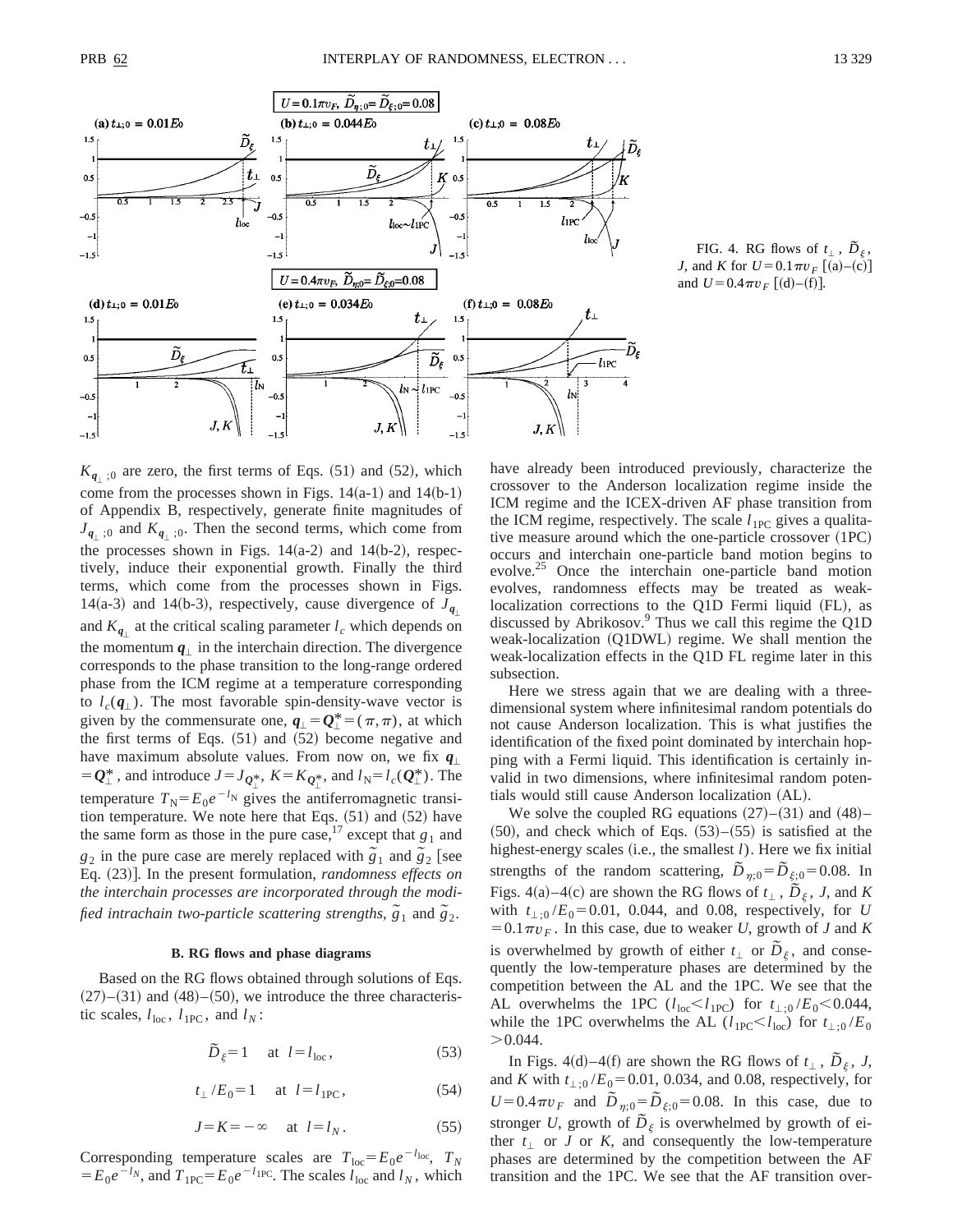

FIG. 4. RG flows of  $t_{\perp}$ ,  $\tilde{D}_{\xi}$ , *J*, and *K* for  $U=0.1 \pi v_F$  [(a)–(c)] and  $U=0.4 \pi v_F$  [(d)–(f)].

 $K_{q+10}$  are zero, the first terms of Eqs.  $(51)$  and  $(52)$ , which come from the processes shown in Figs.  $14(a-1)$  and  $14(b-1)$ of Appendix B, respectively, generate finite magnitudes of  $J_{q_+;0}$  and  $K_{q_+;0}$ . Then the second terms, which come from the processes shown in Figs.  $14(a-2)$  and  $14(b-2)$ , respectively, induce their exponential growth. Finally the third terms, which come from the processes shown in Figs. 14(a-3) and 14(b-3), respectively, cause divergence of  $J_{q}$ and  $K_{q}$  at the critical scaling parameter  $l_c$  which depends on the momentum  $q_{\perp}$  in the interchain direction. The divergence corresponds to the phase transition to the long-range ordered phase from the ICM regime at a temperature corresponding to  $l_c(\mathbf{q}_\perp)$ . The most favorable spin-density-wave vector is given by the commensurate one,  $q_{\perp} = Q_{\perp}^* = (\pi, \pi)$ , at which the first terms of Eqs.  $(51)$  and  $(52)$  become negative and have maximum absolute values. From now on, we fix  $q_1$  $= Q_{\perp}^*$ , and introduce  $J = J_{Q_1^*}$ ,  $K = K_{Q_1^*}$ , and  $l_N = l_c(Q_{\perp}^*)$ . The temperature  $T_N = E_0 e^{-l_N}$  gives the antiferromagnetic transition temperature. We note here that Eqs.  $(51)$  and  $(52)$  have the same form as those in the pure case,<sup>17</sup> except that  $g_1$  and *g*<sub>2</sub> in the pure case are merely replaced with  $\frac{\partial}{\partial 1}$  and  $\frac{\partial}{\partial 2}$  [see Eq.  $(23)$ ]. In the present formulation, *randomness effects on the interchain processes are incorporated through the modified intrachain two-particle scattering strengths,*  $\tilde{g}_1$  and  $\tilde{g}_2$ .

## **B. RG flows and phase diagrams**

Based on the RG flows obtained through solutions of Eqs.  $(27)$ – $(31)$  and  $(48)$ – $(50)$ , we introduce the three characteristic scales,  $l_{\text{loc}}$ ,  $l_{\text{1PC}}$ , and  $l_N$ :

$$
\tilde{D}_{\xi} = 1 \quad \text{at } l = l_{\text{loc}}, \tag{53}
$$

$$
t_{\perp}/E_0 = 1
$$
 at  $l = l_{1PC}$ , (54)

$$
J = K = -\infty \quad \text{at } l = l_N. \tag{55}
$$

Corresponding temperature scales are  $T_{\text{loc}} = E_0 e^{-t_{\text{loc}}}$ ,  $T_N$  $E_0e^{-l_N}$ , and  $T_{1PC} = E_0e^{-l_{1PC}}$ . The scales  $l_{1oc}$  and  $l_N$ , which have already been introduced previously, characterize the crossover to the Anderson localization regime inside the ICM regime and the ICEX-driven AF phase transition from the ICM regime, respectively. The scale  $l_{1PC}$  gives a qualitative measure around which the one-particle crossover  $(1PC)$ occurs and interchain one-particle band motion begins to evolve.<sup>25</sup> Once the interchain one-particle band motion evolves, randomness effects may be treated as weaklocalization corrections to the Q1D Fermi liquid (FL), as discussed by Abrikosov.<sup>9</sup> Thus we call this regime the Q1D weak-localization  $(Q1DWL)$  regime. We shall mention the weak-localization effects in the Q1D FL regime later in this subsection.

Here we stress again that we are dealing with a threedimensional system where infinitesimal random potentials do not cause Anderson localization. This is what justifies the identification of the fixed point dominated by interchain hopping with a Fermi liquid. This identification is certainly invalid in two dimensions, where infinitesimal random potentials would still cause Anderson localization (AL).

We solve the coupled RG equations  $(27)–(31)$  and  $(48)–$  $(50)$ , and check which of Eqs.  $(53)–(55)$  is satisfied at the highest-energy scales (i.e., the smallest  $l$ ). Here we fix initial strengths of the random scattering,  $\overline{D}_{\eta;0} = \overline{D}_{\xi;0} = 0.08$ . In Figs. 4(a)–4(c) are shown the RG flows of  $t_{\perp}$ ,  $\tilde{D}_{\xi}$ , *J*, and *K* with  $t_{\perp;0}$  /*E*<sub>0</sub> = 0.01, 0.044, and 0.08, respectively, for *U*  $=0.1 \pi v_F$ . In this case, due to weaker *U*, growth of *J* and *K* is overwhelmed by growth of either  $t_+$  or  $\overline{D}_\xi$ , and consequently the low-temperature phases are determined by the competition between the AL and the 1PC. We see that the AL overwhelms the 1PC ( $l_{\text{loc}} < l_{\text{1PC}}$ ) for  $t_{\perp,0}$  /*E*<sub>0</sub> < 0.044, while the 1PC overwhelms the AL ( $l_{1PC} < l_{loc}$ ) for  $t_{\perp,0}$ /*E*<sub>0</sub>  $> 0.044$ .

In Figs. 4(d)–4(f) are shown the RG flows of  $t_1$ ,  $\overline{D}_\xi$ , *J*, and *K* with  $t_{\perp;0}$  /*E*<sub>0</sub> = 0.01, 0.034, and 0.08, respectively, for  $U=0.4\pi v_F$  and  $\tilde{D}_{\eta;0}=\tilde{D}_{\xi;0}=0.08$ . In this case, due to stronger *U*, growth of  $\tilde{D}_{\xi}$  is overwhelmed by growth of either  $t_{\perp}$  or *J* or *K*, and consequently the low-temperature phases are determined by the competition between the AF transition and the 1PC. We see that the AF transition over-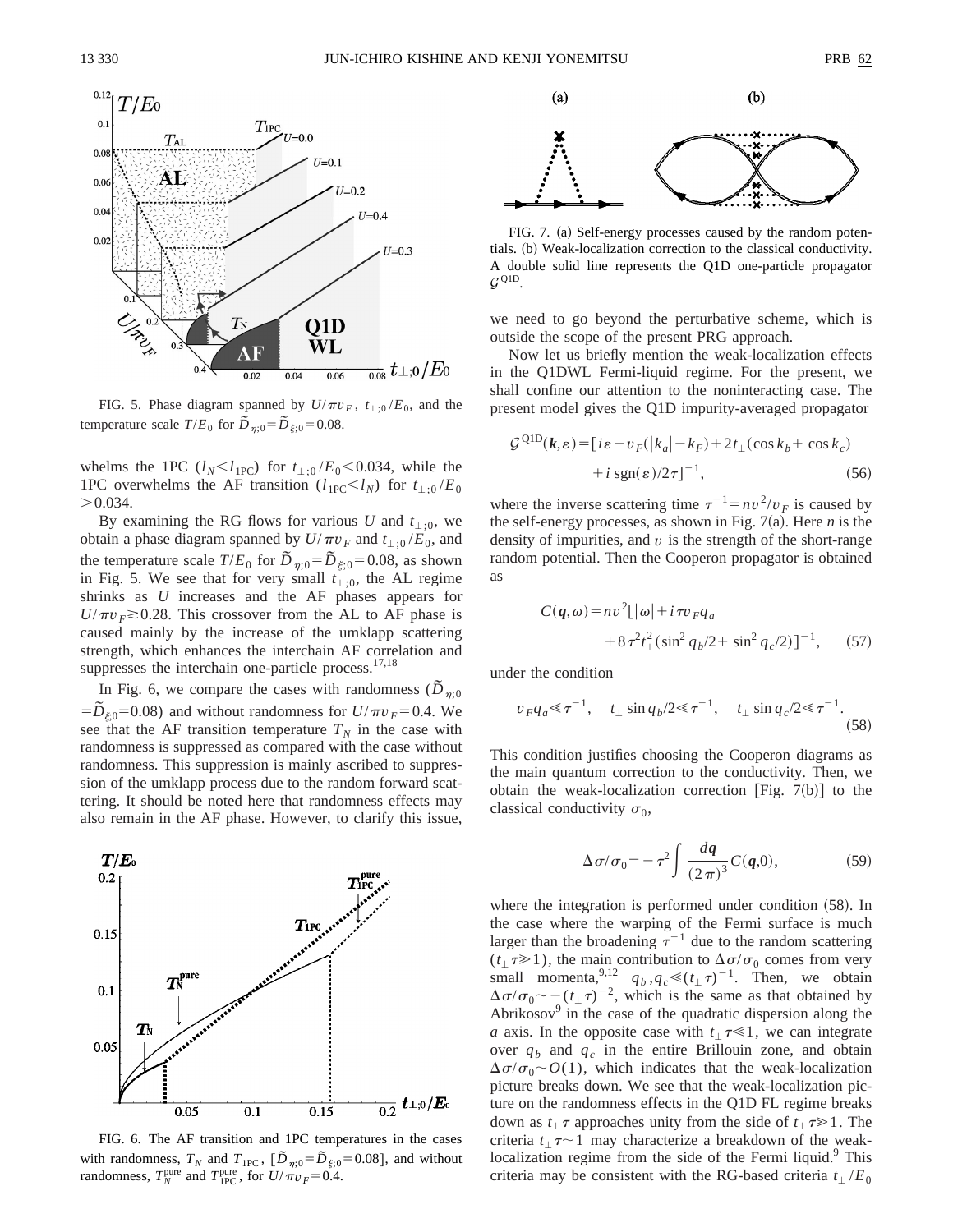

FIG. 5. Phase diagram spanned by  $U/\pi v_F$ ,  $t_{\perp;0}/E_0$ , and the temperature scale  $T/E_0$  for  $\overline{D}_{\eta;0} = \overline{D}_{\xi;0} = 0.08$ .

whelms the 1PC  $(l_N < l_{1PC})$  for  $t_{\perp,0}$  /*E*<sub>0</sub> $< 0.034$ , while the 1PC overwhelms the AF transition ( $l_{1PC} < l_N$ ) for  $t_{\perp,0}/E_0$  $> 0.034$ .

By examining the RG flows for various *U* and  $t_{\perp;0}$ , we obtain a phase diagram spanned by  $U/\pi v_F$  and  $t_{\perp;0}/E_0$ , and the temperature scale  $T/E_0$  for  $D_{\eta;0} = D_{\xi;0} = 0.08$ , as shown in Fig. 5. We see that for very small  $t_{\perp;0}$ , the AL regime shrinks as *U* increases and the AF phases appears for  $U/\pi v_F \gtrsim 0.28$ . This crossover from the AL to AF phase is caused mainly by the increase of the umklapp scattering strength, which enhances the interchain AF correlation and suppresses the interchain one-particle process. $17,18$ 

In Fig. 6, we compare the cases with randomness ( $\overline{D}_{\eta;0}$  $= \tilde{D}_{\varepsilon 0}$ =0.08) and without randomness for  $U/\pi v_F$ =0.4. We see that the AF transition temperature  $T_N$  in the case with randomness is suppressed as compared with the case without randomness. This suppression is mainly ascribed to suppression of the umklapp process due to the random forward scattering. It should be noted here that randomness effects may also remain in the AF phase. However, to clarify this issue,



FIG. 6. The AF transition and 1PC temperatures in the cases with randomness,  $T_N$  and  $T_{1PC}$ ,  $\left[ \tilde{D}_{\eta;0} = \tilde{D}_{\xi;0} = 0.08 \right]$ , and without randomness,  $T_N^{\text{pure}}$  and  $T_{\text{IPC}}^{\text{pure}}$ , for  $U/\pi v_F = 0.4$ .



FIG. 7. (a) Self-energy processes caused by the random potentials. (b) Weak-localization correction to the classical conductivity. A double solid line represents the Q1D one-particle propagator  $G^{\text{Q1D}}$ .

we need to go beyond the perturbative scheme, which is outside the scope of the present PRG approach.

Now let us briefly mention the weak-localization effects in the Q1DWL Fermi-liquid regime. For the present, we shall confine our attention to the noninteracting case. The present model gives the Q1D impurity-averaged propagator

$$
\mathcal{G}^{\text{Q1D}}(\boldsymbol{k}, \varepsilon) = [i\varepsilon - v_F(|k_a| - k_F) + 2t_\perp(\cos k_b + \cos k_c) + i \text{ sgn}(\varepsilon)/2\tau]^{-1}, \tag{56}
$$

where the inverse scattering time  $\tau^{-1} = nv^2/v_F$  is caused by the self-energy processes, as shown in Fig.  $7(a)$ . Here *n* is the density of impurities, and *v* is the strength of the short-range random potential. Then the Cooperon propagator is obtained as

$$
C(\boldsymbol{q}, \omega) = nv^2 [\vert \omega \vert + i \tau v_F q_a + 8 \tau^2 t_{\perp}^2 (\sin^2 q_b / 2 + \sin^2 q_c / 2)]^{-1}, \qquad (57)
$$

under the condition

$$
v_F q_a \ll \tau^{-1}
$$
,  $t_{\perp} \sin q_b / 2 \ll \tau^{-1}$ ,  $t_{\perp} \sin q_c / 2 \ll \tau^{-1}$ . (58)

This condition justifies choosing the Cooperon diagrams as the main quantum correction to the conductivity. Then, we obtain the weak-localization correction [Fig. 7(b)] to the classical conductivity  $\sigma_0$ ,

$$
\Delta \sigma / \sigma_0 = -\tau^2 \int \frac{dq}{(2\pi)^3} C(q,0), \tag{59}
$$

where the integration is performed under condition  $(58)$ . In the case where the warping of the Fermi surface is much larger than the broadening  $\tau^{-1}$  due to the random scattering  $(t_{\perp} \tau \ge 1)$ , the main contribution to  $\Delta \sigma / \sigma_0$  comes from very small momenta,<sup>9,12</sup>  $q_b, q_c \ll (t_\perp \tau)^{-1}$ . Then, we obtain  $\Delta \sigma / \sigma_0 \sim -(t_+ \tau)^{-2}$ , which is the same as that obtained by Abrikosov $9$  in the case of the quadratic dispersion along the *a* axis. In the opposite case with  $t_1 \tau \ll 1$ , we can integrate over  $q_b$  and  $q_c$  in the entire Brillouin zone, and obtain  $\Delta \sigma / \sigma_0 \sim O(1)$ , which indicates that the weak-localization picture breaks down. We see that the weak-localization picture on the randomness effects in the Q1D FL regime breaks down as  $t_1 \tau$  approaches unity from the side of  $t_1 \tau \geq 1$ . The criteria  $t_1 \tau \sim 1$  may characterize a breakdown of the weaklocalization regime from the side of the Fermi liquid.<sup>9</sup> This criteria may be consistent with the RG-based criteria  $t_{\perp}/E_0$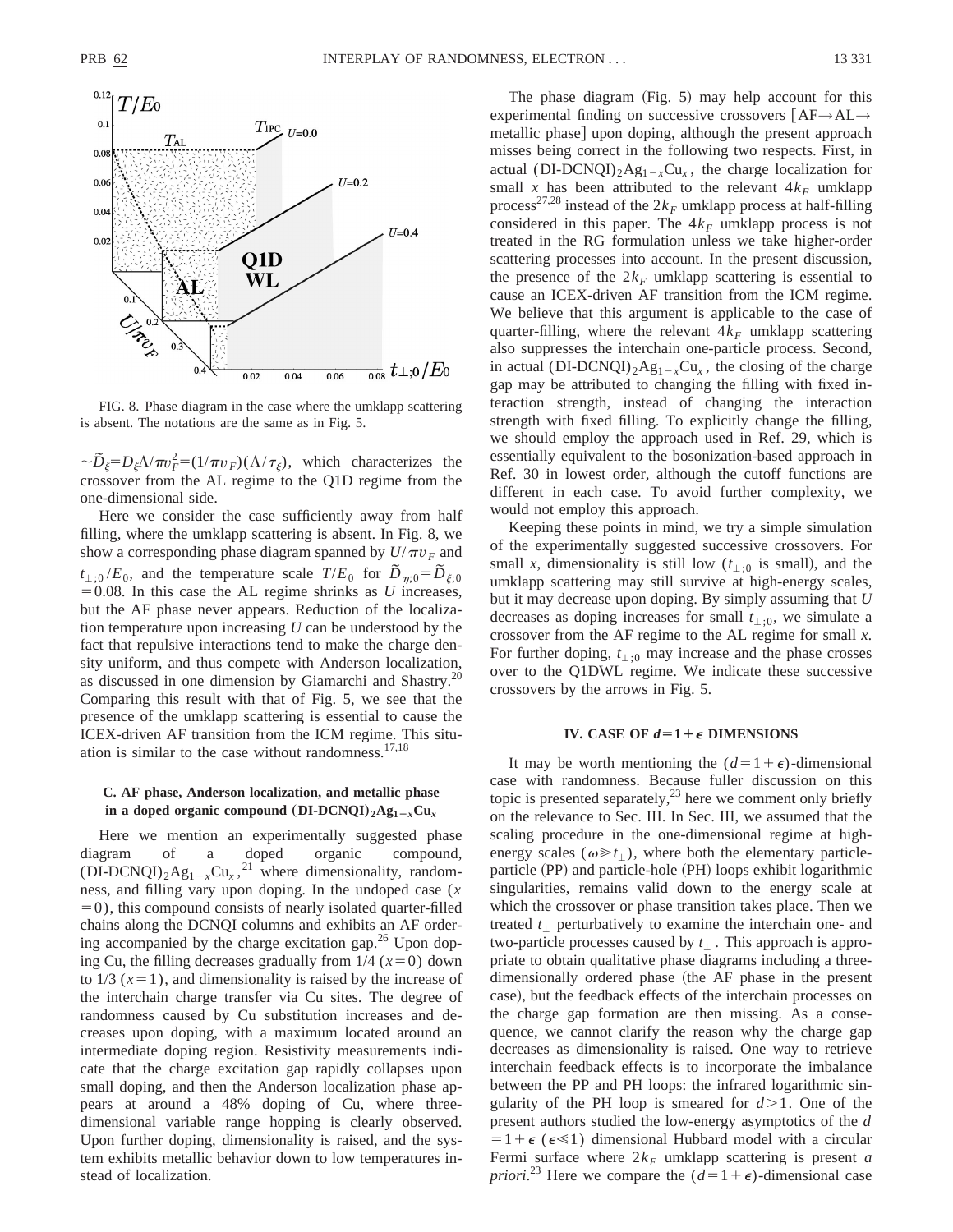

FIG. 8. Phase diagram in the case where the umklapp scattering is absent. The notations are the same as in Fig. 5.

 $\sim \tilde{D}_{\xi} = D_{\xi} \Delta / \pi v_F^2 = (1/\pi v_F)(\Delta / \tau_{\xi})$ , which characterizes the crossover from the AL regime to the Q1D regime from the one-dimensional side.

Here we consider the case sufficiently away from half filling, where the umklapp scattering is absent. In Fig. 8, we show a corresponding phase diagram spanned by  $U/\pi v_F$  and  $t_{\perp;0}/E_0$ , and the temperature scale  $T/E_0$  for  $\tilde{D}_{n;0} = \tilde{D}_{\xi;0}$  $=0.08$ . In this case the AL regime shrinks as *U* increases, but the AF phase never appears. Reduction of the localization temperature upon increasing *U* can be understood by the fact that repulsive interactions tend to make the charge density uniform, and thus compete with Anderson localization, as discussed in one dimension by Giamarchi and Shastry.20 Comparing this result with that of Fig. 5, we see that the presence of the umklapp scattering is essential to cause the ICEX-driven AF transition from the ICM regime. This situation is similar to the case without randomness. $17,18$ 

## **C. AF phase, Anderson localization, and metallic phase** in a doped organic compound  $(DI-DCNQI)_{2}Ag_{1-r}Cu_{r}$

Here we mention an experimentally suggested phase diagram of a doped organic compound,  $(DI-DCNQI)_2Ag_{1-x}Cu_x$ ,<sup>21</sup> where dimensionality, randomness, and filling vary upon doping. In the undoped case (*x*  $=0$ ), this compound consists of nearly isolated quarter-filled chains along the DCNQI columns and exhibits an AF ordering accompanied by the charge excitation gap. $^{26}$  Upon doping Cu, the filling decreases gradually from  $1/4$  ( $x=0$ ) down to  $1/3$  ( $x=1$ ), and dimensionality is raised by the increase of the interchain charge transfer via Cu sites. The degree of randomness caused by Cu substitution increases and decreases upon doping, with a maximum located around an intermediate doping region. Resistivity measurements indicate that the charge excitation gap rapidly collapses upon small doping, and then the Anderson localization phase appears at around a 48% doping of Cu, where threedimensional variable range hopping is clearly observed. Upon further doping, dimensionality is raised, and the system exhibits metallic behavior down to low temperatures instead of localization.

The phase diagram  $(Fig. 5)$  may help account for this experimental finding on successive crossovers  $[AF \rightarrow AL \rightarrow$ metallic phase] upon doping, although the present approach misses being correct in the following two respects. First, in actual (DI-DCNQI)<sub>2</sub>Ag<sub>1-*x*</sub>Cu<sub>x</sub>, the charge localization for small *x* has been attributed to the relevant  $4k_F$  umklapp process<sup>27,28</sup> instead of the  $2k_F$  umklapp process at half-filling considered in this paper. The  $4k_F$  umklapp process is not treated in the RG formulation unless we take higher-order scattering processes into account. In the present discussion, the presence of the  $2k_F$  umklapp scattering is essential to cause an ICEX-driven AF transition from the ICM regime. We believe that this argument is applicable to the case of quarter-filling, where the relevant  $4k_F$  umklapp scattering also suppresses the interchain one-particle process. Second, in actual (DI-DCNQI)<sub>2</sub>Ag<sub>1-*x*</sub>Cu<sub>*x*</sub>, the closing of the charge gap may be attributed to changing the filling with fixed interaction strength, instead of changing the interaction strength with fixed filling. To explicitly change the filling, we should employ the approach used in Ref. 29, which is essentially equivalent to the bosonization-based approach in Ref. 30 in lowest order, although the cutoff functions are different in each case. To avoid further complexity, we would not employ this approach.

Keeping these points in mind, we try a simple simulation of the experimentally suggested successive crossovers. For small *x*, dimensionality is still low  $(t_{\perp,0}$  is small), and the umklapp scattering may still survive at high-energy scales, but it may decrease upon doping. By simply assuming that *U* decreases as doping increases for small  $t_{\perp;0}$ , we simulate a crossover from the AF regime to the AL regime for small *x*. For further doping,  $t_{\perp;0}$  may increase and the phase crosses over to the Q1DWL regime. We indicate these successive crossovers by the arrows in Fig. 5.

#### **IV.** CASE OF  $d=1+\epsilon$  **DIMENSIONS**

It may be worth mentioning the  $(d=1+\epsilon)$ -dimensional case with randomness. Because fuller discussion on this topic is presented separately, $^{23}$  here we comment only briefly on the relevance to Sec. III. In Sec. III, we assumed that the scaling procedure in the one-dimensional regime at highenergy scales ( $\omega \ge t_1$ ), where both the elementary particleparticle (PP) and particle-hole (PH) loops exhibit logarithmic singularities, remains valid down to the energy scale at which the crossover or phase transition takes place. Then we treated  $t_$  perturbatively to examine the interchain one- and two-particle processes caused by  $t_{\perp}$ . This approach is appropriate to obtain qualitative phase diagrams including a threedimensionally ordered phase (the AF phase in the present case), but the feedback effects of the interchain processes on the charge gap formation are then missing. As a consequence, we cannot clarify the reason why the charge gap decreases as dimensionality is raised. One way to retrieve interchain feedback effects is to incorporate the imbalance between the PP and PH loops: the infrared logarithmic singularity of the PH loop is smeared for  $d > 1$ . One of the present authors studied the low-energy asymptotics of the *d*  $=1+\epsilon$  ( $\epsilon \ll 1$ ) dimensional Hubbard model with a circular Fermi surface where  $2k_F$  umklapp scattering is present *a priori*.<sup>23</sup> Here we compare the  $(d=1+\epsilon)$ -dimensional case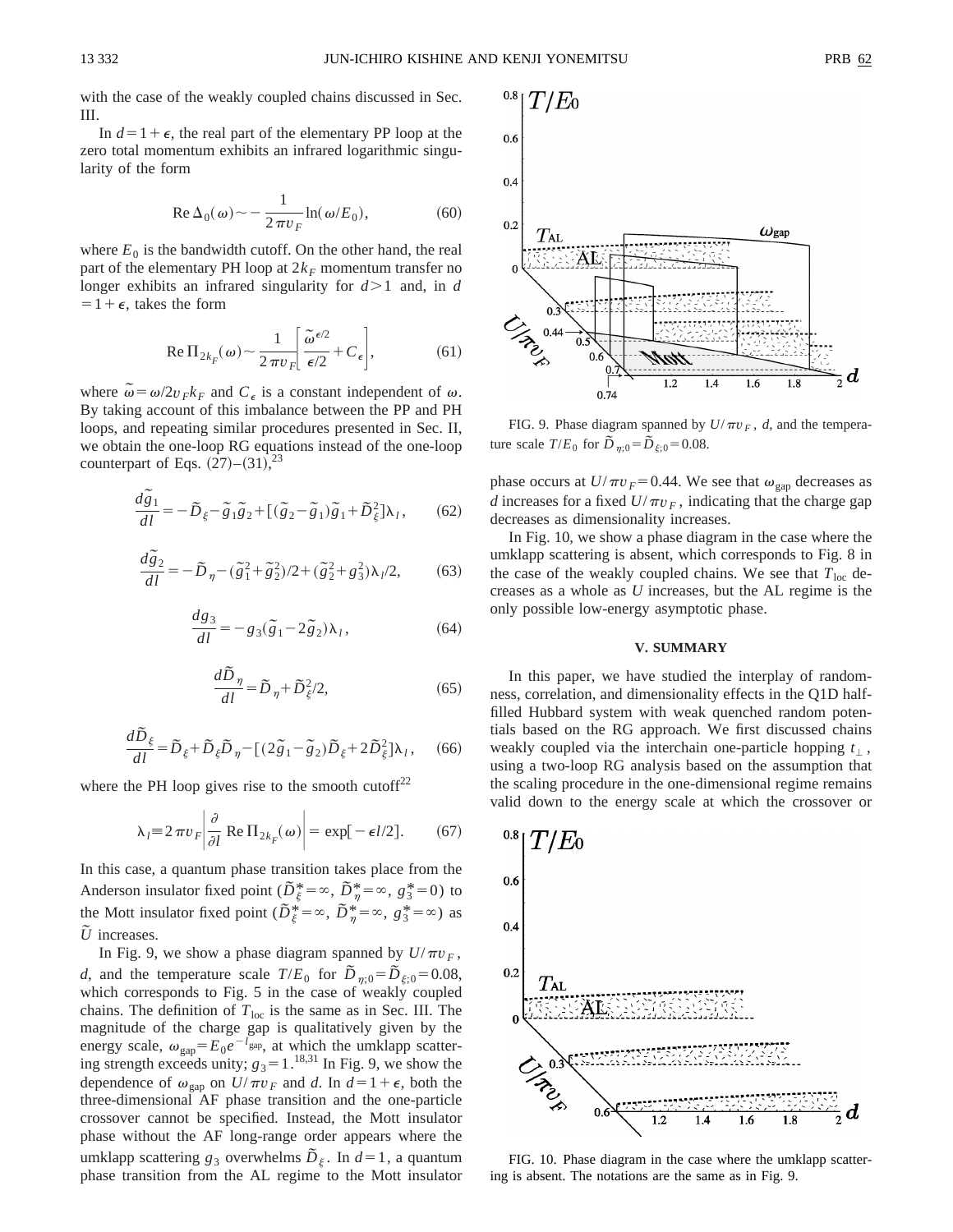with the case of the weakly coupled chains discussed in Sec. III.

In  $d=1+\epsilon$ , the real part of the elementary PP loop at the zero total momentum exhibits an infrared logarithmic singularity of the form

$$
\operatorname{Re}\Delta_0(\omega) \sim -\frac{1}{2\pi v_F} \ln(\omega/E_0),\tag{60}
$$

where  $E_0$  is the bandwidth cutoff. On the other hand, the real part of the elementary PH loop at  $2k_F$  momentum transfer no longer exhibits an infrared singularity for  $d > 1$  and, in *d*  $=1+\epsilon$ , takes the form

$$
\operatorname{Re} \Pi_{2k_F}(\omega) \sim \frac{1}{2\pi v_F} \left[ \frac{\tilde{\omega}^{\epsilon/2}}{\epsilon/2} + C_{\epsilon} \right],\tag{61}
$$

where  $\omega = \omega/2v_F k_F$  and  $C_{\epsilon}$  is a constant independent of  $\omega$ . By taking account of this imbalance between the PP and PH loops, and repeating similar procedures presented in Sec. II, we obtain the one-loop RG equations instead of the one-loop counterpart of Eqs.  $(27)-(31)^{23}$ 

$$
\frac{d\tilde{g}_1}{dl} = -\tilde{D}_{\xi} - \tilde{g}_1 \tilde{g}_2 + [(\tilde{g}_2 - \tilde{g}_1)\tilde{g}_1 + \tilde{D}_{\xi}^2] \lambda_l, \qquad (62)
$$

$$
\frac{d\tilde{g}_2}{dl} = -\tilde{D}_{\eta} - (\tilde{g}_1^2 + \tilde{g}_2^2)/2 + (\tilde{g}_2^2 + g_3^2)\lambda_l/2, \tag{63}
$$

$$
\frac{dg_3}{dl} = -g_3(\tilde{g}_1 - 2\tilde{g}_2)\lambda_l, \qquad (64)
$$

$$
\frac{d\tilde{D}_{\eta}}{dl} = \tilde{D}_{\eta} + \tilde{D}_{\xi}^{2}/2, \qquad (65)
$$

$$
\frac{d\tilde{D}_{\xi}}{dl} = \tilde{D}_{\xi} + \tilde{D}_{\xi}\tilde{D}_{\eta} - \left[ (2\tilde{g}_1 - \tilde{g}_2)\tilde{D}_{\xi} + 2\tilde{D}_{\xi}^2 \right] \lambda_l, \quad (66)
$$

where the PH loop gives rise to the smooth cutoff<sup>22</sup>

$$
\lambda_l = 2 \pi v_F \left| \frac{\partial}{\partial l} \operatorname{Re} \Pi_{2k_F}(\omega) \right| = \exp[-\epsilon l/2]. \tag{67}
$$

In this case, a quantum phase transition takes place from the Anderson insulator fixed point ( $\tilde{D}_{\xi}^{*} = \infty$ ,  $\tilde{D}_{\eta}^{*} = \infty$ ,  $g_{3}^{*} = 0$ ) to the Mott insulator fixed point  $(\overline{D}_{\xi}^{*} = \infty, \overline{D}_{\eta}^{*} = \infty, g_{3}^{*} = \infty)$  as  $\tilde{U}$  increases.

In Fig. 9, we show a phase diagram spanned by  $U/\pi v_F$ , *d*, and the temperature scale  $T/E_0$  for  $\tilde{D}_{\eta;0} = \tilde{D}_{\xi;0} = 0.08$ , which corresponds to Fig. 5 in the case of weakly coupled chains. The definition of  $T<sub>loc</sub>$  is the same as in Sec. III. The magnitude of the charge gap is qualitatively given by the energy scale,  $\omega_{\text{gap}} = E_0 e^{-l_{\text{gap}}}$ , at which the umklapp scattering strength exceeds unity;  $g_3 = 1.^{18,31}$  In Fig. 9, we show the dependence of  $\omega_{\text{gap}}$  on  $U/\pi v_F$  and *d*. In  $d=1+\epsilon$ , both the three-dimensional AF phase transition and the one-particle crossover cannot be specified. Instead, the Mott insulator phase without the AF long-range order appears where the umklapp scattering  $g_3$  overwhelms  $\tilde{D}_{\xi}$ . In  $d=1$ , a quantum phase transition from the AL regime to the Mott insulator



FIG. 9. Phase diagram spanned by  $U/\pi v_F$ , *d*, and the temperature scale  $T/E_0$  for  $\tilde{D}_{\eta;0} = \tilde{D}_{\xi;0} = 0.08$ .

phase occurs at  $U/\pi v_F = 0.44$ . We see that  $\omega_{\text{gap}}$  decreases as *d* increases for a fixed  $U/\pi v_F$ , indicating that the charge gap decreases as dimensionality increases.

In Fig. 10, we show a phase diagram in the case where the umklapp scattering is absent, which corresponds to Fig. 8 in the case of the weakly coupled chains. We see that  $T_{loc}$  decreases as a whole as *U* increases, but the AL regime is the only possible low-energy asymptotic phase.

#### **V. SUMMARY**

In this paper, we have studied the interplay of randomness, correlation, and dimensionality effects in the Q1D halffilled Hubbard system with weak quenched random potentials based on the RG approach. We first discussed chains weakly coupled via the interchain one-particle hopping  $t_{\perp}$ , using a two-loop RG analysis based on the assumption that the scaling procedure in the one-dimensional regime remains valid down to the energy scale at which the crossover or



FIG. 10. Phase diagram in the case where the umklapp scattering is absent. The notations are the same as in Fig. 9.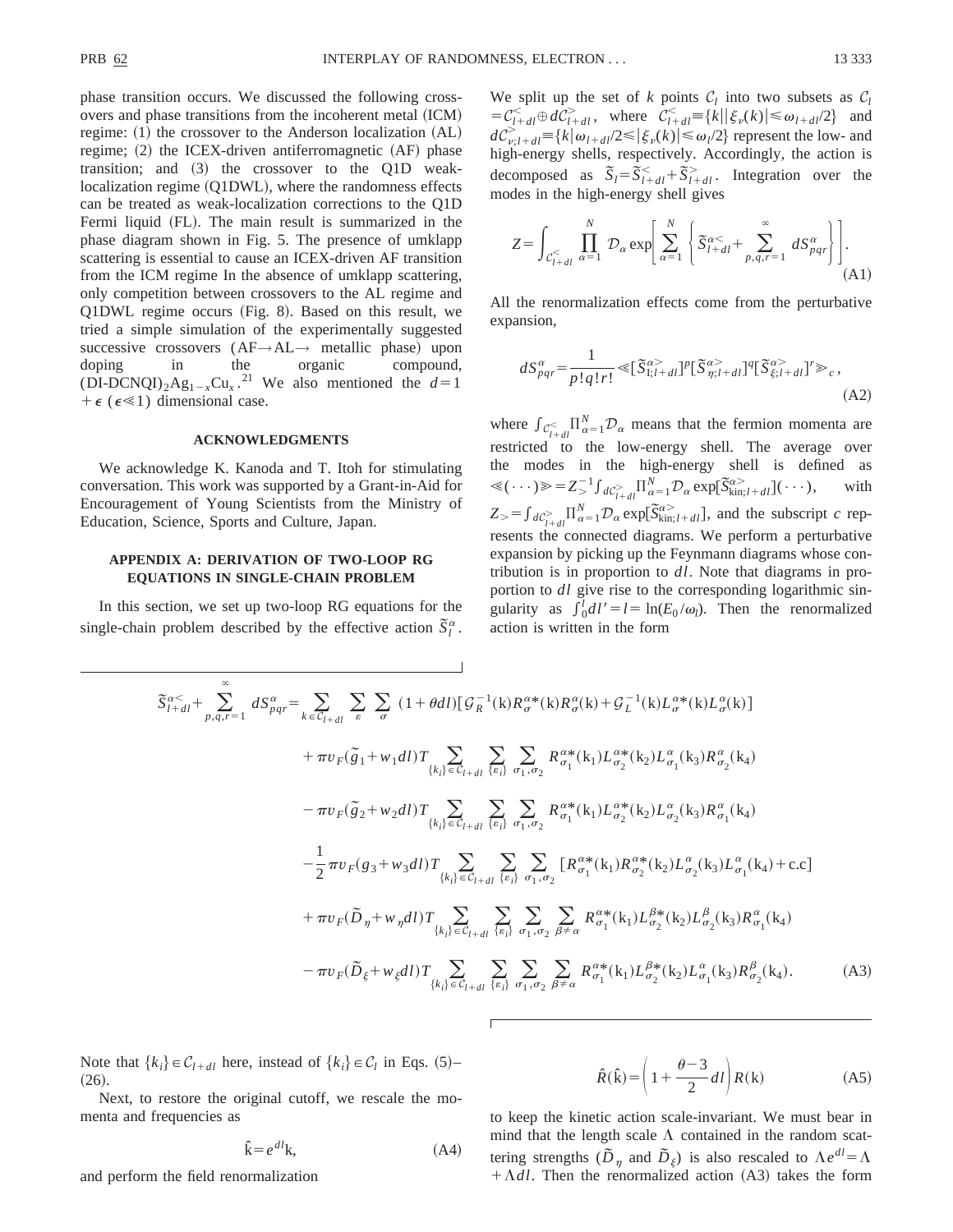phase transition occurs. We discussed the following crossovers and phase transitions from the incoherent metal (ICM) regime:  $(1)$  the crossover to the Anderson localization  $(AL)$ regime;  $(2)$  the ICEX-driven antiferromagnetic  $(AF)$  phase transition; and  $(3)$  the crossover to the Q1D weaklocalization regime (Q1DWL), where the randomness effects can be treated as weak-localization corrections to the Q1D Fermi liquid (FL). The main result is summarized in the phase diagram shown in Fig. 5. The presence of umklapp scattering is essential to cause an ICEX-driven AF transition from the ICM regime In the absence of umklapp scattering, only competition between crossovers to the AL regime and  $Q1DWL$  regime occurs (Fig. 8). Based on this result, we tried a simple simulation of the experimentally suggested successive crossovers  $(AF \rightarrow AL \rightarrow$  metallic phase) upon<br>doping in the organic compound, compound,  $(DI-DCNQI)_2Ag_{1-x}Cu_x$ .<sup>21</sup> We also mentioned the  $d=1$  $+ \epsilon$  ( $\epsilon \ll 1$ ) dimensional case.

#### **ACKNOWLEDGMENTS**

We acknowledge K. Kanoda and T. Itoh for stimulating conversation. This work was supported by a Grant-in-Aid for Encouragement of Young Scientists from the Ministry of Education, Science, Sports and Culture, Japan.

## **APPENDIX A: DERIVATION OF TWO-LOOP RG EQUATIONS IN SINGLE-CHAIN PROBLEM**

In this section, we set up two-loop RG equations for the single-chain problem described by the effective action  $\overline{S}_l^{\alpha}$ . We split up the set of  $k$  points  $C_l$  into two subsets as  $C_l$  $= C_{l+dl}^{\lt} \oplus dC_{l+dl}^{\gt}$ , where  $C_{l+dl}^{\lt} \equiv \{k \mid |\xi_v(k)| \leq \omega_{l+dl}/2 \}$  and  $dC_{\nu;l+d|}^{\geq} \equiv \{k|\omega_{l+d|}/2 \leq |\xi_{\nu}(k)| \leq \omega_{l}/2\}$  represent the low- and high-energy shells, respectively. Accordingly, the action is decomposed as  $\overline{S}_l = \overline{S}_{l+dl}^< + \overline{S}_{l+dl}^<$ . Integration over the modes in the high-energy shell gives

$$
Z = \int_{C_{l+dl}^{-}} \prod_{\alpha=1}^{N} \mathcal{D}_{\alpha} \exp\left[\sum_{\alpha=1}^{N} \left\{ \tilde{S}_{l+dl}^{\alpha<} + \sum_{p,q,r=1}^{\infty} dS_{pqr}^{\alpha} \right\} \right].
$$
\n(A1)

All the renormalization effects come from the perturbative expansion,

$$
dS_{pqr}^{\alpha} = \frac{1}{p!q!r!} \ll [\widetilde{S}_{1;l+dl}^{\alpha} ]^p [\widetilde{S}_{\eta;l+dl}^{\alpha} ]^q [\widetilde{S}_{\xi;l+dl}^{\alpha} ]^r \gg_c,
$$
\n(A2)

where  $\int_{C_{I+dl}}^{\infty} \prod_{\alpha=1}^{N} \mathcal{D}_{\alpha}$  means that the fermion momenta are restricted to the low-energy shell. The average over the modes in the high-energy shell is defined as  $\ll(\cdots) \gg Z_{>}^{-1} \int_{dC_{I+dl}} \prod_{\alpha=1}^{N} \mathcal{D}_{\alpha} \exp[\tilde{S}_{kin,I+dl}^{\alpha}] (\cdots),$  with  $Z > f_{dC_{l+dl}}^{\geq} \prod_{\alpha=1}^{N} \mathcal{D}_{\alpha} \exp[\tilde{S}_{kin;l+dl}^{\alpha>}],$  and the subscript *c* represents the connected diagrams. We perform a perturbative expansion by picking up the Feynmann diagrams whose contribution is in proportion to *dl*. Note that diagrams in proportion to *dl* give rise to the corresponding logarithmic singularity as  $\int_0^l dl' = l = \ln(E_0/\omega_l)$ . Then the renormalized action is written in the form

$$
\tilde{S}_{l+dl}^{\alpha\prec} + \sum_{p,q,r=1}^{\infty} dS_{pqr}^{\alpha} = \sum_{k \in C_{l+dl}} \sum_{\epsilon} \sum_{\sigma} (1 + \theta dl) [\mathcal{G}_{R}^{-1}(k) R_{\sigma}^{\alpha*}(k) R_{\sigma}^{\alpha}(k) + \mathcal{G}_{L}^{-1}(k) L_{\sigma}^{\alpha*}(k) L_{\sigma}^{\alpha}(k)] \n+ \pi v_{F}(\tilde{g}_{1} + w_{1}dl) T \sum_{\{k_{i}\}} \sum_{c'_{i}d_{i}} \sum_{\{e_{i}\}} \sum_{\sigma_{1},\sigma_{2}} R_{\sigma_{1}}^{\alpha*}(k_{1}) L_{\sigma_{2}}^{\alpha*}(k_{2}) L_{\sigma_{1}}^{\alpha}(k_{3}) R_{\sigma_{2}}^{\alpha}(k_{4}) \n- \pi v_{F}(\tilde{g}_{2} + w_{2}dl) T \sum_{\{k_{i}\}} \sum_{c'_{i}d_{i}} \sum_{\{e_{i}\}} \sum_{\sigma_{1},\sigma_{2}} R_{\sigma_{1}}^{\alpha*}(k_{1}) L_{\sigma_{2}}^{\alpha*}(k_{2}) L_{\sigma_{2}}^{\alpha}(k_{3}) R_{\sigma_{1}}^{\alpha}(k_{4}) \n- \frac{1}{2} \pi v_{F}(g_{3} + w_{3}dl) T \sum_{\{k_{i}\}} \sum_{c'_{i}d_{i}} \sum_{\{e_{i}\}} \sum_{\sigma_{1},\sigma_{2}} [R_{\sigma_{1}}^{\alpha*}(k_{1}) R_{\sigma_{2}}^{\alpha*}(k_{2}) L_{\sigma_{2}}^{\alpha}(k_{3}) L_{\sigma_{1}}^{\alpha}(k_{4}) + \text{c.c}] \n+ \pi v_{F}(\tilde{D}_{\eta} + w_{\eta}dl) T \sum_{\{k_{i}\}} \sum_{c'_{i}d_{i}} \sum_{\{e_{i}\}} \sum_{\sigma_{1},\sigma_{2}} \sum_{\beta \neq \alpha} R_{\sigma_{1}}^{\alpha*}(k_{1}) L_{\sigma_{2}}^{\beta*}(k_{2}) L_{\sigma_{2}}^{\beta}(k_{3}) R_{\sigma_{1}}^{\alpha}(k_{4}) \n- \pi v_{F}(\tilde{D}_{\xi} + w_{\xi}dl) T \sum_{\{k_{i}\}} \sum_{c'_{i}d_{i}} \sum_{
$$

Note that  $\{k_i\} \in C_{l+dl}$  here, instead of  $\{k_i\} \in C_l$  in Eqs. (5)–  $(26).$ 

Next, to restore the original cutoff, we rescale the momenta and frequencies as

$$
\hat{\mathbf{k}} = e^{dl}\mathbf{k},\tag{A4}
$$

and perform the field renormalization

$$
\hat{R}(\hat{\mathbf{k}}) = \left(1 + \frac{\theta - 3}{2}dl\right)R(\mathbf{k})
$$
\n(A5)

to keep the kinetic action scale-invariant. We must bear in mind that the length scale  $\Lambda$  contained in the random scattering strengths  $(\tilde{D}_{\eta}$  and  $\tilde{D}_{\xi}$ ) is also rescaled to  $\Lambda e^{dl} = \Lambda$  $+\Lambda dl$ . Then the renormalized action (A3) takes the form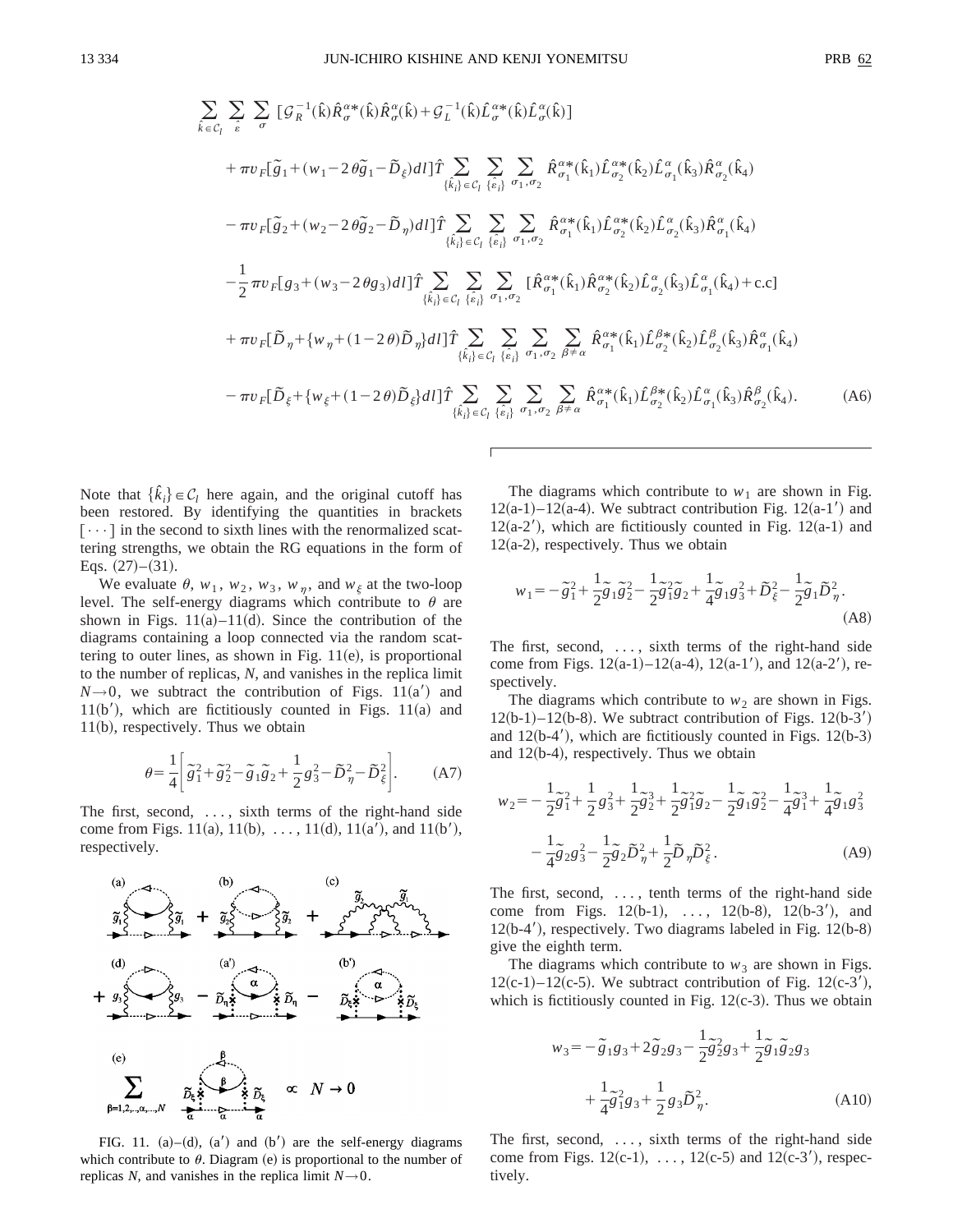$$
\sum_{\hat{k}\in\mathcal{C}_{l}}\sum_{\hat{e}}\sum_{\sigma}\left[\mathcal{G}_{R}^{-1}(\hat{k})\hat{R}_{\sigma}^{\alpha*}(\hat{k})\hat{R}_{\sigma}^{\alpha}(\hat{k})+\mathcal{G}_{L}^{-1}(\hat{k})\hat{L}_{\sigma}^{\alpha*}(\hat{k})\hat{L}_{\sigma}^{\alpha}(\hat{k})\right]
$$
\n
$$
+\pi v_{F}[\tilde{g}_{1}+(w_{1}-2\theta\tilde{g}_{1}-\tilde{D}_{\xi})dl]\hat{T}\sum_{\{\hat{k}_{i}\}\in\mathcal{C}_{l}}\sum_{\{\hat{e}_{i}\}}\sum_{\sigma_{1},\sigma_{2}}\hat{R}_{\sigma_{1}}^{\alpha*}(\hat{k}_{1})\hat{L}_{\sigma_{2}}^{\alpha*}(\hat{k}_{2})\hat{L}_{\sigma_{1}}^{\alpha}(\hat{k}_{3})\hat{R}_{\sigma_{2}}^{\alpha}(\hat{k}_{4})
$$
\n
$$
-\pi v_{F}[\tilde{g}_{2}+(w_{2}-2\theta\tilde{g}_{2}-\tilde{D}_{\eta})dl]\hat{T}\sum_{\{\hat{k}_{i}\}\in\mathcal{C}_{l}}\sum_{\{\hat{e}_{i}\}}\sum_{\sigma_{1},\sigma_{2}}\hat{R}_{\sigma_{1}}^{\alpha*}(\hat{k}_{1})\hat{L}_{\sigma_{2}}^{\alpha*}(\hat{k}_{2})\hat{L}_{\sigma_{2}}^{\alpha}(\hat{k}_{3})\hat{R}_{\sigma_{1}}^{\alpha}(\hat{k}_{4})
$$
\n
$$
-\frac{1}{2}\pi v_{F}[g_{3}+(w_{3}-2\theta g_{3})dl]\hat{T}\sum_{\{\hat{k}_{i}\}\in\mathcal{C}_{l}}\sum_{\{\hat{e}_{i}\}}\sum_{\sigma_{1},\sigma_{2}}[\hat{R}_{\sigma_{1}}^{\alpha*}(\hat{k}_{1})\hat{R}_{\sigma_{2}}^{\alpha*}(\hat{k}_{2})\hat{L}_{\sigma_{2}}^{\alpha}(\hat{k}_{3})\hat{L}_{\sigma_{1}}^{\alpha}(\hat{k}_{4})+c.c]
$$
\n
$$
+\pi v_{F}[\tilde{D}_{\eta}+\{w_{\eta}+(1-2\theta)\tilde{D}_{\eta}\}dl]\hat{T}\sum_{\{\hat{k}_{i}\}\in\mathcal{C}_{l}}\sum_{\{\hat{e}_{i}\}}\sum_{\sigma_{1},\sigma_{2}}\sum
$$

Note that  $\{\hat{k}_i\} \in C_l$  here again, and the original cutoff has been restored. By identifying the quantities in brackets  $[\cdots]$  in the second to sixth lines with the renormalized scattering strengths, we obtain the RG equations in the form of Eqs.  $(27)–(31)$ .

We evaluate  $\theta$ ,  $w_1$ ,  $w_2$ ,  $w_3$ ,  $w_n$ , and  $w_\xi$  at the two-loop level. The self-energy diagrams which contribute to  $\theta$  are shown in Figs.  $11(a)$ – $11(d)$ . Since the contribution of the diagrams containing a loop connected via the random scattering to outer lines, as shown in Fig.  $11(e)$ , is proportional to the number of replicas, *N*, and vanishes in the replica limit  $N\rightarrow 0$ , we subtract the contribution of Figs. 11(a) and  $11(b')$ , which are fictitiously counted in Figs.  $11(a)$  and  $11(b)$ , respectively. Thus we obtain

$$
\theta = \frac{1}{4} \left[ \tilde{g}_1^2 + \tilde{g}_2^2 - \tilde{g}_1 \tilde{g}_2 + \frac{1}{2} g_3^2 - \tilde{D}_{\eta}^2 - \tilde{D}_{\xi}^2 \right].
$$
 (A7)

The first, second, ..., sixth terms of the right-hand side come from Figs. 11(a), 11(b), ..., 11(d), 11(a'), and 11(b'), respectively.



FIG. 11. (a)–(d), (a') and (b') are the self-energy diagrams which contribute to  $\theta$ . Diagram (e) is proportional to the number of replicas *N*, and vanishes in the replica limit  $N \rightarrow 0$ .

The diagrams which contribute to  $w_1$  are shown in Fig.  $12(a-1)$ –12(a-4). We subtract contribution Fig. 12(a-1') and  $12(a-2)$ , which are fictitiously counted in Fig. 12 $(a-1)$  and  $12(a-2)$ , respectively. Thus we obtain

$$
w_1 = -\tilde{g}_1^2 + \frac{1}{2}\tilde{g}_1\tilde{g}_2^2 - \frac{1}{2}\tilde{g}_1^2\tilde{g}_2 + \frac{1}{4}\tilde{g}_1g_3^2 + \tilde{D}_{\xi}^2 - \frac{1}{2}\tilde{g}_1\tilde{D}_{\eta}^2.
$$
\n(A8)

The first, second, ..., sixth terms of the right-hand side come from Figs.  $12(a-1)$ – $12(a-4)$ ,  $12(a-1)$ , and  $12(a-2)$ , respectively.

The diagrams which contribute to  $w_2$  are shown in Figs.  $12(b-1)-12(b-8)$ . We subtract contribution of Figs.  $12(b-3)$ and  $12(b-4')$ , which are fictitiously counted in Figs.  $12(b-3)$ and  $12(b-4)$ , respectively. Thus we obtain

$$
w_2 = -\frac{1}{2}\tilde{g}_1^2 + \frac{1}{2}g_3^2 + \frac{1}{2}\tilde{g}_2^3 + \frac{1}{2}\tilde{g}_1^2\tilde{g}_2 - \frac{1}{2}\tilde{g}_1\tilde{g}_2^2 - \frac{1}{4}\tilde{g}_1^3 + \frac{1}{4}\tilde{g}_1g_3^2 - \frac{1}{4}\tilde{g}_2g_3^2 - \frac{1}{2}\tilde{g}_2\tilde{g}_2 - \frac{1}{2}\tilde{g}_2\tilde{g}_2 - \frac{1}{2}\tilde{g}_2\tilde{g}_2 - \frac{1}{2}\tilde{g}_2\tilde{g}_2 - \frac{1}{2}\tilde{g}_2\tilde{g}_2 - \frac{1}{2}\tilde{g}_2\tilde{g}_2 - \frac{1}{2}\tilde{g}_2\tilde{g}_2 - \frac{1}{2}\tilde{g}_2\tilde{g}_2 - \frac{1}{2}\tilde{g}_2\tilde{g}_2 - \frac{1}{2}\tilde{g}_2\tilde{g}_2 - \frac{1}{2}\tilde{g}_2\tilde{g}_2 - \frac{1}{2}\tilde{g}_2\tilde{g}_2 - \frac{1}{2}\tilde{g}_2\tilde{g}_2 - \frac{1}{2}\tilde{g}_2\tilde{g}_2 - \frac{1}{2}\tilde{g}_2\tilde{g}_2 - \frac{1}{2}\tilde{g}_2\tilde{g}_2 - \frac{1}{2}\tilde{g}_2\tilde{g}_2 - \frac{1}{2}\tilde{g}_2\tilde{g}_2 - \frac{1}{2}\tilde{g}_2\tilde{g}_2 - \frac{1}{2}\tilde{g}_2\tilde{g}_2 - \frac{1}{2}\tilde{g}_2\tilde{g}_2 - \frac{1}{2}\tilde{g}_2\tilde{g}_2 - \frac{1}{2}\tilde{g}_2\tilde{g}_2 - \frac{1}{2}\tilde{g}_2\tilde{g}_2 - \frac{1}{2}\tilde{g}_2\tilde{g}_2 - \frac{1}{2}\tilde{g}_2\tilde{g}_2 - \frac{1}{2}\tilde{g}_2\tilde{g}_2 - \frac{1}{2}\tilde{g}_2\tilde{g}_2 - \frac{1}{2}\tilde{g}_2\tilde{g}_2 -
$$

The first, second, ..., tenth terms of the right-hand side come from Figs.  $12(b-1), \ldots, 12(b-8), 12(b-3'),$  and  $12(b-4')$ , respectively. Two diagrams labeled in Fig.  $12(b-8)$ give the eighth term.

The diagrams which contribute to  $w_3$  are shown in Figs.  $12(c-1)$ – $12(c-5)$ . We subtract contribution of Fig.  $12(c-3)$ , which is fictitiously counted in Fig.  $12(c-3)$ . Thus we obtain

$$
w_3 = -\tilde{g}_1 g_3 + 2\tilde{g}_2 g_3 - \frac{1}{2} \tilde{g}_2^2 g_3 + \frac{1}{2} \tilde{g}_1 \tilde{g}_2 g_3 + \frac{1}{4} \tilde{g}_1^2 g_3 + \frac{1}{2} g_3 \tilde{D}_\eta^2.
$$
 (A10)

The first, second, ..., sixth terms of the right-hand side come from Figs.  $12(c-1), \ldots, 12(c-5)$  and  $12(c-3)$ , respectively.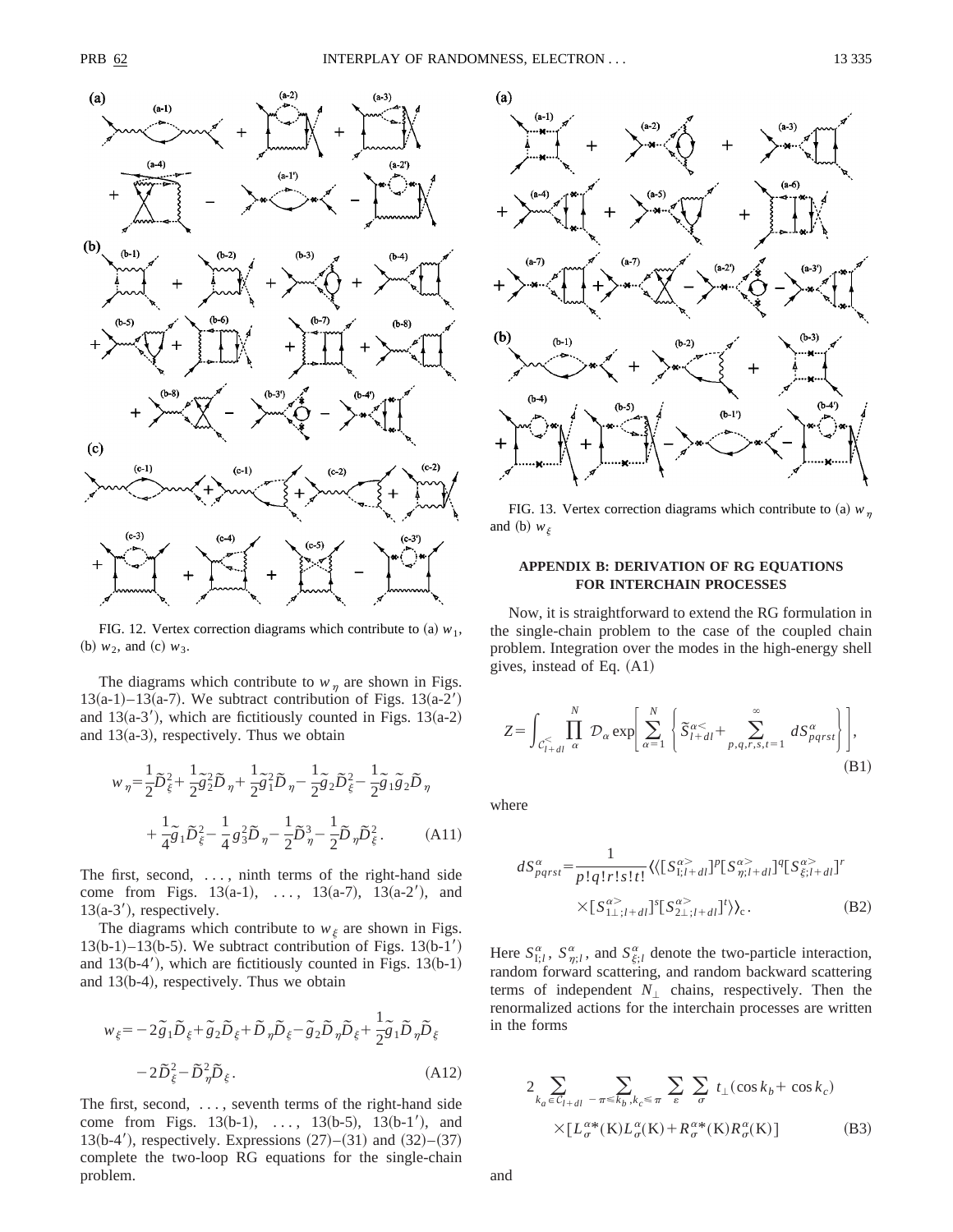

FIG. 12. Vertex correction diagrams which contribute to (a)  $w_1$ , (b)  $w_2$ , and (c)  $w_3$ .

The diagrams which contribute to  $w_{\eta}$  are shown in Figs.  $13(a-1)$ –13 $(a-7)$ . We subtract contribution of Figs. 13 $(a-2)$ and  $13(a-3)$ , which are fictitiously counted in Figs. 13 $(a-2)$ and  $13(a-3)$ , respectively. Thus we obtain

$$
w_{\eta} = \frac{1}{2}\tilde{D}_{\xi}^{2} + \frac{1}{2}\tilde{g}_{2}^{2}\tilde{D}_{\eta} + \frac{1}{2}\tilde{g}_{1}^{2}\tilde{D}_{\eta} - \frac{1}{2}\tilde{g}_{2}\tilde{D}_{\xi}^{2} - \frac{1}{2}\tilde{g}_{1}\tilde{g}_{2}\tilde{D}_{\eta}
$$

$$
+ \frac{1}{4}\tilde{g}_{1}\tilde{D}_{\xi}^{2} - \frac{1}{4}g_{3}^{2}\tilde{D}_{\eta} - \frac{1}{2}\tilde{D}_{\eta}^{3} - \frac{1}{2}\tilde{D}_{\eta}\tilde{D}_{\xi}^{2}. \tag{A11}
$$

The first, second, ..., ninth terms of the right-hand side come from Figs.  $13(a-1)$ , ...,  $13(a-7)$ ,  $13(a-2)$ , and  $13(a-3')$ , respectively.

The diagrams which contribute to  $w_{\xi}$  are shown in Figs.  $13(b-1)-13(b-5)$ . We subtract contribution of Figs.  $13(b-1)$ and  $13(b-4')$ , which are fictitiously counted in Figs. 13 $(b-1)$ and  $13(b-4)$ , respectively. Thus we obtain

$$
w_{\xi} = -2\tilde{g}_1 \tilde{D}_{\xi} + \tilde{g}_2 \tilde{D}_{\xi} + \tilde{D}_{\eta} \tilde{D}_{\xi} - \tilde{g}_2 \tilde{D}_{\eta} \tilde{D}_{\xi} + \frac{1}{2} \tilde{g}_1 \tilde{D}_{\eta} \tilde{D}_{\xi}
$$

$$
-2\tilde{D}_{\xi}^2 - \tilde{D}_{\eta}^2 \tilde{D}_{\xi}.
$$
(A12)

The first, second, ..., seventh terms of the right-hand side come from Figs.  $13(b-1)$ , ...,  $13(b-5)$ ,  $13(b-1)$ , and 13(b-4'), respectively. Expressions  $(27)–(31)$  and  $(32)–(37)$ complete the two-loop RG equations for the single-chain problem.



FIG. 13. Vertex correction diagrams which contribute to (a)  $w_n$ and (b)  $w_{\xi}$ 

## **APPENDIX B: DERIVATION OF RG EQUATIONS FOR INTERCHAIN PROCESSES**

Now, it is straightforward to extend the RG formulation in the single-chain problem to the case of the coupled chain problem. Integration over the modes in the high-energy shell gives, instead of Eq.  $(A1)$ 

$$
Z = \int_{C_{l+dl}^{\lt} } \prod_{\alpha}^{N} \mathcal{D}_{\alpha} \exp \left[ \sum_{\alpha=1}^{N} \left\{ \widetilde{S}_{l+dl}^{\alpha\lt} + \sum_{p,q,r,s,t=1}^{\infty} dS_{pqrst}^{\alpha} \right\} \right],
$$
\n(B1)

where

$$
dS_{pqrst}^{\alpha} = \frac{1}{p!q!r!s!t!} \langle \langle [S_{1;l+dl}^{\alpha} ]^p [S_{\eta;l+dl}^{\alpha} ]^q [S_{\xi;l+dl}^{\alpha} ]^r
$$

$$
\times [S_{1\perp;l+dl}^{\alpha} ]^s [S_{2\perp;l+dl}^{\alpha} ]^r \rangle \rangle_c.
$$
(B2)

Here  $S_{I;l}^{\alpha}$ ,  $S_{\eta;l}^{\alpha}$ , and  $S_{\xi;l}^{\alpha}$  denote the two-particle interaction, random forward scattering, and random backward scattering terms of independent  $N_{\perp}$  chains, respectively. Then the renormalized actions for the interchain processes are written in the forms

$$
2 \sum_{k_a \in C_{l+dl}} \sum_{-\pi \le k_b, k_c \le \pi} \sum_{\varepsilon} \sum_{\sigma} t_{\perp}(\cos k_b + \cos k_c)
$$
  
 
$$
\times [L_{\sigma}^{\alpha*}(\mathbf{K}) L_{\sigma}^{\alpha}(\mathbf{K}) + R_{\sigma}^{\alpha*}(\mathbf{K}) R_{\sigma}^{\alpha}(\mathbf{K})]
$$
(B3)

and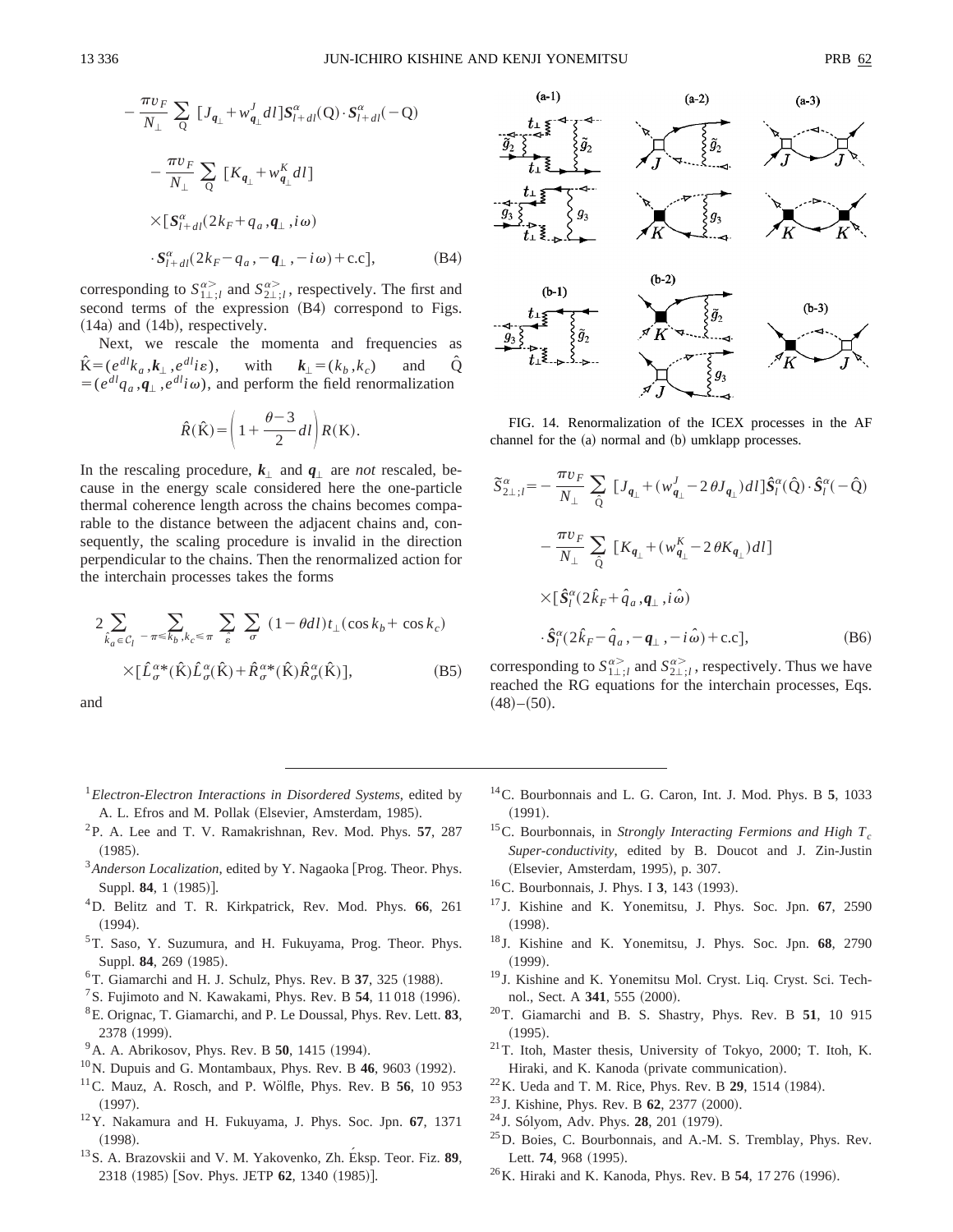$$
-\frac{\pi v_F}{N_\perp} \sum_{Q} [J_{q_\perp} + w'_{q_\perp} dl] S_{l+dl}^{\alpha}(Q) \cdot S_{l+dl}^{\alpha}(-Q)
$$

$$
-\frac{\pi v_F}{N_\perp} \sum_{Q} [K_{q_\perp} + w''_{q_\perp} dl]
$$

$$
\times [S_{l+dl}^{\alpha}(2k_F + q_a, q_\perp, i\omega)
$$

$$
\cdot S_{l+dl}^{\alpha}(2k_F - q_a, -q_\perp, -i\omega) + c.c], \qquad (B4)
$$

corresponding to  $S_{1\perp i}^{\alpha>}$  and  $S_{2\perp i}^{\alpha>}$ , respectively. The first and second terms of the expression (B4) correspond to Figs.  $(14a)$  and  $(14b)$ , respectively.

Next, we rescale the momenta and frequencies as  $\hat{\mathbf{K}} = (e^{dl}k_a, k_\perp, e^{dl}i\varepsilon), \text{ with } k_\perp = (k_b, k_c) \text{ and } \hat{\mathbf{Q}}$  $= (e^{dl}q_a, \mathbf{q}_\perp, e^{dl}i\omega)$ , and perform the field renormalization

$$
\hat{R}(\hat{\mathbf{K}}) = \left(1 + \frac{\theta - 3}{2}dl\right)R(\mathbf{K}).
$$

In the rescaling procedure,  $k_{\perp}$  and  $q_{\perp}$  are *not* rescaled, because in the energy scale considered here the one-particle thermal coherence length across the chains becomes comparable to the distance between the adjacent chains and, consequently, the scaling procedure is invalid in the direction perpendicular to the chains. Then the renormalized action for the interchain processes takes the forms

$$
2\sum_{\hat{k}_a \in \mathcal{C}_l} \sum_{-\pi \leq k_b, k_c \leq \pi} \sum_{\hat{\epsilon}} \sum_{\sigma} (1 - \theta dl) t_{\perp} (\cos k_b + \cos k_c)
$$
  
 
$$
\times [\hat{L}_{\sigma}^{\alpha*}(\hat{\mathbf{K}}) \hat{L}_{\sigma}^{\alpha}(\hat{\mathbf{K}}) + \hat{R}_{\sigma}^{\alpha*}(\hat{\mathbf{K}}) \hat{R}_{\sigma}^{\alpha}(\hat{\mathbf{K}})], \tag{B5}
$$

and



FIG. 14. Renormalization of the ICEX processes in the AF channel for the  $(a)$  normal and  $(b)$  umklapp processes.

$$
\tilde{S}_{2\perp;l}^{\alpha} = -\frac{\pi v_F}{N_{\perp}} \sum_{\hat{Q}} \left[ J_{q_{\perp}} + (w_{q_{\perp}}^J - 2\theta J_{q_{\perp}}) dl \right] \hat{S}_l^{\alpha}(\hat{Q}) \cdot \hat{S}_l^{\alpha}(-\hat{Q})
$$

$$
- \frac{\pi v_F}{N_{\perp}} \sum_{\hat{Q}} \left[ K_{q_{\perp}} + (w_{q_{\perp}}^K - 2\theta K_{q_{\perp}}) dl \right]
$$

$$
\times \left[ \hat{S}_l^{\alpha} (2\hat{k}_F + \hat{q}_a, q_{\perp}, i\hat{\omega}) \right]
$$

$$
\cdot \hat{S}_l^{\alpha} (2\hat{k}_F - \hat{q}_a, -q_{\perp}, -i\hat{\omega}) + \text{c.c.}, \tag{B6}
$$

corresponding to  $S_{1\perp i}^{\alpha>}$  and  $S_{2\perp i}^{\alpha>}$ , respectively. Thus we have reached the RG equations for the interchain processes, Eqs.  $(48)–(50).$ 

- <sup>1</sup>*Electron-Electron Interactions in Disordered Systems*, edited by A. L. Efros and M. Pollak (Elsevier, Amsterdam, 1985).
- 2P. A. Lee and T. V. Ramakrishnan, Rev. Mod. Phys. **57**, 287  $(1985).$
- <sup>3</sup> Anderson Localization, edited by Y. Nagaoka [Prog. Theor. Phys. Suppl. 84, 1 (1985)].
- 4D. Belitz and T. R. Kirkpatrick, Rev. Mod. Phys. **66**, 261  $(1994).$
- 5T. Saso, Y. Suzumura, and H. Fukuyama, Prog. Theor. Phys. Suppl. **84**, 269 (1985).
- ${}^{6}$ T. Giamarchi and H. J. Schulz, Phys. Rev. B  $37, 325$  (1988).
- ${}^{7}$ S. Fujimoto and N. Kawakami, Phys. Rev. B 54, 11018 (1996).
- 8E. Orignac, T. Giamarchi, and P. Le Doussal, Phys. Rev. Lett. **83**, 2378 (1999).
- <sup>9</sup> A. A. Abrikosov, Phys. Rev. B **50**, 1415 (1994).
- $10$ N. Dupuis and G. Montambaux, Phys. Rev. B 46, 9603 (1992).
- <sup>11</sup>C. Mauz, A. Rosch, and P. Wölfle, Phys. Rev. B 56, 10 953  $(1997).$
- 12Y. Nakamura and H. Fukuyama, J. Phys. Soc. Jpn. **67**, 1371 <sup>~</sup>1998!. 13S. A. Brazovskii and V. M. Yakovenko, Zh. E´ ksp. Teor. Fiz. **<sup>89</sup>**,
- 2318 (1985) [Sov. Phys. JETP 62, 1340 (1985)].
- 14C. Bourbonnais and L. G. Caron, Int. J. Mod. Phys. B **5**, 1033  $(1991).$
- <sup>15</sup>C. Bourbonnais, in *Strongly Interacting Fermions and High T<sub>c</sub> Super-conductivity*, edited by B. Doucot and J. Zin-Justin (Elsevier, Amsterdam, 1995), p. 307.
- <sup>16</sup>C. Bourbonnais, J. Phys. I **3**, 143 (1993).
- <sup>17</sup> J. Kishine and K. Yonemitsu, J. Phys. Soc. Jpn. **67**, 2590  $(1998).$
- <sup>18</sup> J. Kishine and K. Yonemitsu, J. Phys. Soc. Jpn. **68**, 2790  $(1999).$
- <sup>19</sup> J. Kishine and K. Yonemitsu Mol. Cryst. Liq. Cryst. Sci. Technol., Sect. A 341, 555 (2000).
- 20T. Giamarchi and B. S. Shastry, Phys. Rev. B **51**, 10 915  $(1995).$
- 21T. Itoh, Master thesis, University of Tokyo, 2000; T. Itoh, K. Hiraki, and K. Kanoda (private communication).
- <sup>22</sup>K. Ueda and T. M. Rice, Phys. Rev. B **29**, 1514 (1984).
- <sup>23</sup> J. Kishine, Phys. Rev. B **62**, 2377 (2000).
- <sup>24</sup> J. Sólyom, Adv. Phys. **28**, 201 (1979).
- $^{25}$ D. Boies, C. Bourbonnais, and A.-M. S. Tremblay, Phys. Rev. Lett. **74**, 968 (1995).
- <sup>26</sup> K. Hiraki and K. Kanoda, Phys. Rev. B **54**, 17 276 (1996).